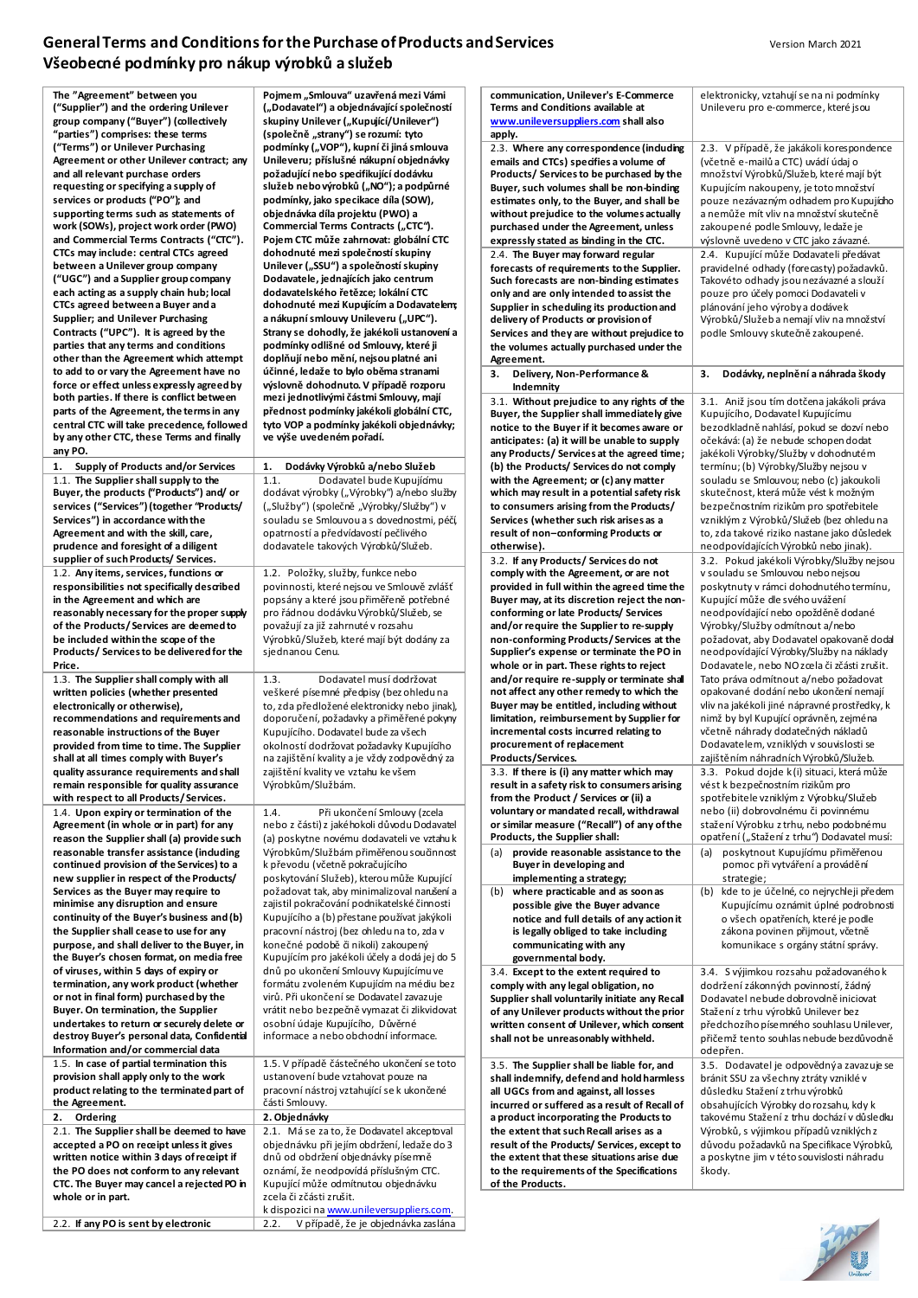## **General Terms and Conditions for the Purchase of Products and Services Version March 2021** Version March 2021 **Všeobecné podmínky pro nákup výrobků a služeb**

| The "Agreement" between you                                                             | Pojmem "Smlouva" uzavřená mezi Vámi                                                        | communication, Unilever's E-Commerce                                                      | elektronicky, vztahují se na ni podmínky                                              |
|-----------------------------------------------------------------------------------------|--------------------------------------------------------------------------------------------|-------------------------------------------------------------------------------------------|---------------------------------------------------------------------------------------|
| ("Supplier") and the ordering Unilever<br>group company ("Buyer") (collectively         | ("Dodavateľ") a objednávající společností<br>skupiny Unilever ("Kupující/Unilever")        | <b>Terms and Conditions available at</b><br>www.unileversuppliers.com shall also          | Unileveru pro e-commerce, které jsou                                                  |
| "parties") comprises: these terms                                                       | (společně "strany") se rozumí: tyto                                                        | apply.                                                                                    |                                                                                       |
| ("Terms") or Unilever Purchasing                                                        | podmínky ("VOP"), kupní či jiná smlouva                                                    | 2.3. Where any correspondence (induding                                                   | 2.3. V případě, že jakákoli korespondence                                             |
| Agreement or other Unilever contract; any                                               | Unileveru; příslušné nákupní objednávky                                                    | emails and CTCs) specifies a volume of                                                    | (včetně e-mailů a CTC) uvádí údaj o                                                   |
| and all relevant purchase orders                                                        | požadující nebo specifikující dodávku                                                      | Products/Services to be purchased by the                                                  | množství Výrobků/Služeb, které mají být                                               |
| requesting or specifying a supply of<br>services or products ("PO"); and                | služeb nebo výrobků ("NO"); a podpůrné<br>podmínky, jako specikace díla (SOW),             | Buyer, such volumes shall be non-binding                                                  | Kupujícím nakoupeny, je toto množství                                                 |
| supporting terms such as statements of                                                  | objednávka díla projektu (PWO) a                                                           | estimates only, to the Buyer, and shall be<br>without prejudice to the volumes actually   | pouze nezávazným odhadem pro Kupujícho<br>a nemůže mít vliv na množství skutečně      |
| work (SOWs), project work order (PWO)                                                   | Commercial Terms Contracts ("CTC").                                                        | purchased under the Agreement, unless                                                     | zakoupené podle Smlouvy, ledaže je                                                    |
| and Commercial Terms Contracts ("CTC").                                                 | Pojem CTC může zahrnovat: globální CTC                                                     | expressly stated as binding in the CTC.                                                   | výslovně uvedeno v CTC jako závazné.                                                  |
| CTCs may include: central CTCs agreed                                                   | dohodnuté mezi společností skupiny                                                         | 2.4. The Buyer may forward regular                                                        | 2.4. Kupující může Dodavateli předávat                                                |
| between a Unilever group company<br>("UGC") and a Supplier group company                | Unilever ("SSU") a společností skupiny<br>Dodavatele, jednajících jako centrum             | forecasts of requirements to the Supplier.                                                | pravidelné odhady (forecasty) požadavků.<br>Takovéto odhady jsou nezávazné a slouží   |
| each acting as a supply chain hub; local                                                | dodavatelského řetězce; lokální CTC                                                        | Such forecasts are non-binding estimates<br>only and are only intended to assist the      | pouze pro účely pomoci Dodavateli v                                                   |
| CTCs agreed between a Buyer and a                                                       | dohodnuté mezi Kupujícím a Dodavatelem;                                                    | Supplier in scheduling its production and                                                 | plánování jeho výroby a dodávek                                                       |
| Supplier; and Unilever Purchasing                                                       | a nákupní smlouvy Unileveru ("UPC").                                                       | delivery of Products or provision of                                                      | Výrobků/Služeb a nemají vliv na množství                                              |
| Contracts ("UPC"). It is agreed by the                                                  | Strany se dohodly, že jakékoli ustanovení a                                                | Services and they are without prejudice to                                                | podle Smlouvy skutečně zakoupené.                                                     |
| parties that any terms and conditions<br>other than the Agreement which attempt         | podmínky odlišné od Smlouvy, které ji<br>doplňují nebo mění, nejsou platné ani             | the volumes actually purchased under the                                                  |                                                                                       |
| to add to or vary the Agreement have no                                                 | účinné, ledaže to bylo oběma stranami                                                      | Agreement.<br>3. Delivery, Non-Performance &                                              | 3.<br>Dodávky, neplnění a náhrada škody                                               |
| force or effect unless expressly agreed by                                              | výslovně dohodnuto. V případě rozporu                                                      | Indemnity                                                                                 |                                                                                       |
| both parties. If there is conflict between                                              | mezi jednotlivými částmi Smlouvy, mají                                                     | 3.1. Without prejudice to any rights of the                                               | 3.1. Aniž jsou tím dotčena jakákoli práva                                             |
| parts of the Agreement, the terms in any                                                | přednost podmínky jakékoli globální CTC,                                                   | Buyer, the Supplier shall immediately give                                                | Kupujícího, Dodavatel Kupujícímu                                                      |
| central CTC will take precedence, followed<br>by any other CTC, these Terms and finally | tyto VOP a podmínky jakékoli objednávky;                                                   | notice to the Buyer if it becomes aware or                                                | bezodkladně nahlásí, pokud se dozví nebo                                              |
| any PO.                                                                                 | ve výše uvedeném pořadí.                                                                   | anticipates: (a) it will be unable to supply                                              | očekává: (a) že nebude schopen dodat                                                  |
| 1. Supply of Products and/or Services                                                   | 1.<br>Dodávky Výrobků a/nebo Služeb                                                        | any Products/ Services at the agreed time;<br>(b) the Products/ Services do not comply    | jakékoli Výrobky/Služby v dohodnutém<br>termínu; (b) Výrobky/Služby nejsou v          |
| 1.1. The Supplier shall supply to the                                                   | 1.1.<br>Dodavatel bude Kupujícímu                                                          | with the Agreement; or (c) any matter                                                     | souladu se Smlouvou; nebo (c) jakoukoli                                               |
| Buyer, the products ("Products") and/ or                                                | dodávat výrobky ("Výrobky") a/nebo služby                                                  | which may result in a potential safety risk                                               | skutečnost, která může vést k možným                                                  |
| services ("Services") (together "Products/                                              | ("Služby") (společně "Výrobky/Služby") v                                                   | to consumers arising from the Products/                                                   | bezpečnostním rizikům pro spotřebitele                                                |
| Services") in accordance with the                                                       | souladu se Smlouvou a s dovednostmi, péčí,                                                 | Services (whether such risk arises as a                                                   | vzniklým z Výrobků/Služeb (bez ohledu na                                              |
| Agreement and with the skill, care,                                                     | opatrností a předvídavostí pečlivého                                                       | result of non-conforming Products or                                                      | to, zda takové riziko nastane jako důsledek                                           |
| prudence and foresight of a diligent<br>supplier of such Products/Services.             | dodavatele takových Výrobků/Služeb.                                                        | otherwise).<br>3.2. If any Products/ Services do not                                      | neodpovídajících Výrobků nebo jinak).<br>3.2. Pokud jakékoli Výrobky/Služby nejsou    |
| 1.2. Any items, services, functions or                                                  | 1.2. Položky, služby, funkce nebo                                                          | comply with the Agreement, or are not                                                     | v souladu se Smlouvou nebo nejsou                                                     |
| responsibilities not specifically described                                             | povinnosti, které nejsou ve Smlouvě zvlášť                                                 | provided in full within the agreed time the                                               | poskytnuty v rámci dohodnutého termínu,                                               |
| in the Agreement and which are                                                          | popsány a které jsou přiměřeně potřebné                                                    | Buyer may, at its discretion reject the non-                                              | Kupující může dle svého uvážení                                                       |
| reasonably necessary for the proper supply                                              | pro řádnou dodávku Výrobků/Služeb, se                                                      | conforming or late Products/ Services                                                     | neodpovídající nebo opožděně dodané                                                   |
| of the Products/Services are deemed to<br>be included within the scope of the           | považují za již zahrnuté v rozsahu                                                         | and/or require the Supplier to re-supply                                                  | Výrobky/Služby odmítnout a/nebo                                                       |
| Products/Services to be delivered for the                                               | Výrobků/Služeb, které mají být dodány za<br>sjednanou Cenu.                                | non-conforming Products/Services at the<br>Supplier's expense or terminate the PO in      | požadovat, aby Dodavatel opakovaně dodal<br>neodpovídající Výrobky/Služby na náklady  |
| Price.                                                                                  |                                                                                            | whole or in part. These rights to reject                                                  | Dodavatele, nebo NO zcela či zčásti zrušit.                                           |
| 1.3. The Supplier shall comply with all                                                 | Dodavatel musí dodržovat<br>1.3.                                                           | and/or require re-supply or terminate shall                                               | Tato práva odmítnout a/nebo požadovat                                                 |
| written policies (whether presented                                                     | veškeré písemné předpisy (bez ohledu na                                                    | not affect any other remedy to which the                                                  | opakované dodání nebo ukončení nemají                                                 |
| electronically or otherwise),                                                           | to, zda předložené elektronicky nebo jinak),                                               | Buyer may be entitled, including without                                                  | vliv na jakékoli jiné nápravné prostředky, k                                          |
| recommendations and requirements and<br>reasonable instructions of the Buyer            | doporučení, požadavky a přiměřené pokyny<br>Kupujícího. Dodavatel bude za všech            | limitation, reimbursement by Supplier for<br>incremental costs incurred relating to       | nimž by byl Kupující oprávněn, zejména<br>včetně náhrady dodatečných nákladů          |
| provided from time to time. The Supplier                                                | okolností dodržovat požadavky Kupujícího                                                   | procurement of replacement                                                                | Dodavatelem, vzniklých v souvislosti se                                               |
| shall at all times comply with Buyer's                                                  | na zajištění kvality a je vždy zodpovědný za                                               | Products/Services.                                                                        | zajištěním náhradních Výrobků/Služeb.                                                 |
| quality assurance requirements and shall                                                | zajištění kvality ve vztahu ke všem                                                        | 3.3. If there is (i) any matter which may                                                 | 3.3. Pokud dojde k(i) situaci, která může                                             |
| remain responsible for quality assurance                                                | Výrobkům/Službám.                                                                          | result in a safety risk to consumers arising                                              | vést k bezpečnostním rizikům pro                                                      |
| with respect to all Products/Services.<br>1.4. Upon expiry or termination of the        | Při ukončení Smlouvy (zcela<br>1.4.                                                        | from the Product / Services or (ii) a<br>voluntary or mandated recall, withdrawal         | spotřebitele vzniklým z Výrobku/Služeb<br>nebo (ii) dobrovolnému či povinnému         |
| Agreement (in whole or in part) for any                                                 | nebo z části) z jakéhokoli důvodu Dodavatel                                                | or similar measure ("Recall") of any of the                                               | stažení Výrobku z trhu, nebo podobnému                                                |
| reason the Supplier shall (a) provide such                                              | (a) poskytne novému dodavateli ve vztahu k                                                 | Products, the Supplier shall:                                                             | opatření ("Stažení z trhu") Dodavatel musí:                                           |
| reasonable transfer assistance (including                                               | Výrobkům/Službám přiměřenou součinnost                                                     | provide reasonable assistance to the<br>(a)                                               | (a) poskytnout Kupujícímu přiměřenou                                                  |
| continued provision of the Services) to a                                               | k převodu (včetně pokračujícího                                                            | Buyer in developing and                                                                   | pomoc při vytváření a provádění                                                       |
| new supplier in respect of the Products/                                                | poskytování Služeb), kterou může Kupující                                                  | implementing a strategy;                                                                  | strategie;                                                                            |
| Services as the Buyer may require to<br>minimise any disruption and ensure              | požadovat tak, aby minimalizoval narušení a<br>zajistil pokračování podnikatelské činnosti | where practicable and as soon as<br>(b)<br>possible give the Buyer advance                | (b) kde to je účelné, co nejrychleji předem<br>Kupujícímu oznámit úplné podrobnosti   |
| continuity of the Buyer's business and (b)                                              | Kupujícího a (b) přestane používat jakýkoli                                                | notice and full details of any action it                                                  | o všech opatřeních, které je podle                                                    |
| the Supplier shall cease to use for any                                                 | pracovní nástroj (bez ohledu na to, zda v                                                  | is legally obliged to take including                                                      | zákona povinen přijmout, včetně                                                       |
| purpose, and shall deliver to the Buyer, in                                             | konečné podobě či nikoli) zakoupený                                                        | communicating with any                                                                    | komunikace s orgány státní správy.                                                    |
| the Buyer's chosen format, on media free                                                | Kupujícím pro jakékoli účely a dodá jej do 5<br>dnů po ukončení Smlouvy Kupujícímu ve      | governmental body.                                                                        |                                                                                       |
| of viruses, within 5 days of expiry or<br>termination, any work product (whether        | formátu zvoleném Kupujícím na médiu bez                                                    | 3.4. Except to the extent required to<br>comply with any legal obligation, no             | 3.4. S výjimkou rozsahu požadovaného k<br>dodržení zákonných povinností, žádný        |
| or not in final form) purchased by the                                                  | virů. Při ukončení se Dodavatel zavazuje                                                   | Supplier shall voluntarily initiate any Recal                                             | Dodavatel nebude dobrovolně iniciovat                                                 |
| Buyer. On termination, the Supplier                                                     | vrátit nebo bezpečně vymazat či zlikvidovat                                                | of any Unilever products without the prior                                                | Stažení z trhu výrobků Unilever bez                                                   |
| undertakes to return or securely delete or                                              | osobní údaje Kupujícího, Důvěrné                                                           | written consent of Unilever, which consent                                                | předchozího písemného souhlasu Unilever,                                              |
| destroy Buyer's personal data, Confidential<br>Information and/or commercial data       | informace a nebo obchodní informace.                                                       | shall not be unreasonably withheld.                                                       | přičemž tento souhlas nebude bezdůvodně                                               |
| 1.5. In case of partial termination this                                                | 1.5. V případě částečného ukončení se toto                                                 |                                                                                           | odepřen.                                                                              |
| provision shall apply only to the work                                                  | ustanovení bude vztahovat pouze na                                                         | 3.5. The Supplier shall be liable for, and<br>shall indemnify, defend and hold harmless   | 3.5. Dodavatel je odpovědný a zavazuje se<br>bránit SSU za všechny ztráty vzniklé v   |
| product relating to the terminated part of                                              | pracovní nástroj vztahující se k ukončené                                                  | all UGCs from and against, all losses                                                     | důsledku Stažení z trhu výrobků                                                       |
| the Agreement.                                                                          | části Smlouvy.                                                                             | incurred or suffered as a result of Recall of                                             | obsahujících Výrobky do rozsahu, kdy k                                                |
| 2.<br>Ordering                                                                          | 2. Objednávky                                                                              | a product incorporating the Products to                                                   | takovému Stažení z trhu dochází v důsledku                                            |
| 2.1. The Supplier shall be deemed to have                                               | 2.1. Má se za to, že Dodavatel akceptoval                                                  | the extent that such Recall arises as a                                                   | Výrobků, s výjimkou případů vzniklých z                                               |
| accepted a PO on receipt unless it gives<br>written notice within 3 days of receipt if  | objednávku při jejím obdržení, ledaže do 3<br>dnů od obdržení objednávky písemně           | result of the Products/ Services, except to<br>the extent that these situations arise due | důvodu požadavků na Specifikace Výrobků,<br>a poskytne jim v této souvislosti náhradu |
| the PO does not conform to any relevant                                                 | oznámí, že neodpovídá příslušným CTC.                                                      | to the requirements of the Specifications                                                 | škody.                                                                                |
| CTC. The Buyer may cancel a rejected PO in                                              | Kupující může odmítnutou objednávku                                                        | of the Products.                                                                          |                                                                                       |
| whole or in part.                                                                       | zcela či zčásti zrušit.                                                                    |                                                                                           |                                                                                       |
|                                                                                         | k dispozici na www.unileversuppliers.com.                                                  |                                                                                           |                                                                                       |
| 2.2. If any PO is sent by electronic                                                    | V případě, že je objednávka zaslána<br>2.2.                                                |                                                                                           | <b>LAND</b>                                                                           |

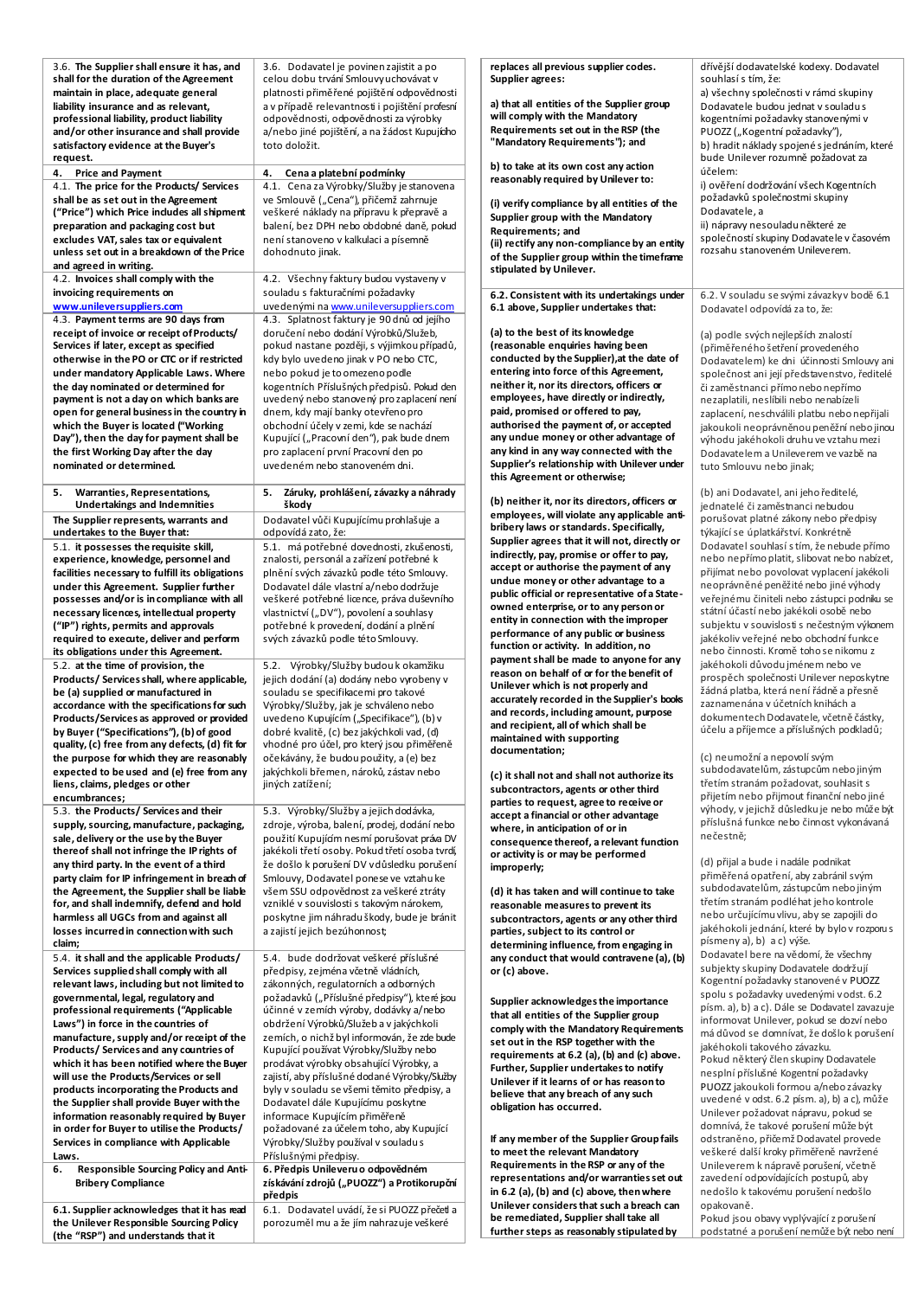| 3.6. The Supplier shall ensure it has, and<br>shall for the duration of the Agreement   | 3.6. Dodavatel je povinen zajistit a po<br>celou dobu trvání Smlouvy uchovávat v             | replaces all previous supplier codes.<br>Supplier agrees:                                      | dřívější dodavatelské kodexy. Dodavatel<br>souhlasí s tím, že:                            |
|-----------------------------------------------------------------------------------------|----------------------------------------------------------------------------------------------|------------------------------------------------------------------------------------------------|-------------------------------------------------------------------------------------------|
| maintain in place, adequate general                                                     | platnosti přiměřené pojištění odpovědnosti                                                   |                                                                                                | a) všechny společnosti v rámci skupiny                                                    |
| liability insurance and as relevant,                                                    | a v případě relevantnosti i pojištění profesní                                               | a) that all entities of the Supplier group<br>will comply with the Mandatory                   | Dodavatele budou jednat v souladus                                                        |
| professional liability, product liability<br>and/or other insurance and shall provide   | odpovědnosti, odpovědnosti za výrobky<br>a/nebo jiné pojištění, a na žádost Kupujícího       | Requirements set out in the RSP (the                                                           | kogentními požadavky stanovenými v<br>PUOZZ ("Kogentní požadavky"),                       |
| satisfactory evidence at the Buyer's<br>request.                                        | toto doložit.                                                                                | "Mandatory Requirements"); and                                                                 | b) hradit náklady spojené s jednáním, které<br>bude Unilever rozumně požadovat za         |
| 4. Price and Payment                                                                    | 4. Cena a platební podmínky                                                                  | b) to take at its own cost any action                                                          | účelem:                                                                                   |
| 4.1. The price for the Products/ Services                                               | 4.1. Cena za Výrobky/Služby je stanovena                                                     | reasonably required by Unilever to:                                                            | i) ověření dodržování všech Kogentních                                                    |
| shall be as set out in the Agreement                                                    | ve Smlouvě ("Cena"), přičemž zahrnuje                                                        | (i) verify compliance by all entities of the                                                   | požadavků společnostmi skupiny                                                            |
| ("Price") which Price indudes all shipment<br>preparation and packaging cost but        | veškeré náklady na přípravu k přepravě a<br>balení, bez DPH nebo obdobné daně, pokud         | Supplier group with the Mandatory                                                              | Dodavatele, a<br>ii) nápravy nesouladu některé ze                                         |
| excludes VAT, sales tax or equivalent                                                   | není stanoveno v kalkulaci a písemně                                                         | Requirements; and                                                                              | společností skupiny Dodavatele v časovém                                                  |
| unless set out in a breakdown of the Price                                              | dohodnuto jinak.                                                                             | (ii) rectify any non-compliance by an entity<br>of the Supplier group within the timeframe     | rozsahu stanoveném Unileverem.                                                            |
| and agreed in writing.                                                                  |                                                                                              | stipulated by Unilever.                                                                        |                                                                                           |
| 4.2. Invoices shall comply with the                                                     | 4.2. Všechny faktury budou vystaveny v                                                       |                                                                                                |                                                                                           |
| invoicing requirements on<br>www.unileversuppliers.com                                  | souladu s fakturačními požadavky<br>uvedenými na www.unileversuppliers.com                   | 6.2. Consistent with its undertakings under                                                    | 6.2. V souladu se svými závazky v bodě 6.1                                                |
| 4.3. Payment terms are 90 days from                                                     | 4.3. Splatnost faktury je 90 dnů od jejího                                                   | 6.1 above, Supplier undertakes that:                                                           | Dodavatel odpovídá za to, že:                                                             |
| receipt of invoice or receipt of Products/                                              | doručení nebo dodání Výrobků/Služeb,                                                         | (a) to the best of its knowledge                                                               | (a) podle svých nejlepších znalostí                                                       |
| Services if later, except as specified                                                  | pokud nastane později, s výjimkou případů,                                                   | (reasonable enquiries having been                                                              | (přiměřeného šetření provedeného                                                          |
| otherwise in the PO or CTC or if restricted                                             | kdy bylo uvedeno jinak v PO nebo CTC,                                                        | conducted by the Supplier), at the date of                                                     | Dodavatelem) ke dni účinnosti Smlouvy ani                                                 |
| under mandatory Applicable Laws. Where                                                  | nebo pokud je to omezeno podle                                                               | entering into force of this Agreement,<br>neither it, nor its directors, officers or           | společnost ani její představenstvo, ředitelé                                              |
| the day nominated or determined for<br>payment is not a day on which banks are          | kogentních Příslušných předpisů. Pokud den<br>uvedený nebo stanovený pro zaplacení není      | employees, have directly or indirectly,                                                        | či zaměstnanci přímo nebo nepřímo<br>nezaplatili, neslíbili nebo nenabízeli               |
| open for general business in the country in                                             | dnem, kdy mají banky otevřeno pro                                                            | paid, promised or offered to pay,                                                              | zaplacení, neschválili platbu nebo nepřijali                                              |
| which the Buyer is located ("Working                                                    | obchodní účely v zemi, kde se nachází                                                        | authorised the payment of, or accepted                                                         | jakoukoli neoprávněnou peněžní nebo jinou                                                 |
| Day"), then the day for payment shall be                                                | Kupující ("Pracovní den"), pak bude dnem                                                     | any undue money or other advantage of                                                          | výhodu jakéhokoli druhu ve vztahu mezi                                                    |
| the first Working Day after the day                                                     | pro zaplacení první Pracovní den po                                                          | any kind in any way connected with the<br>Supplier's relationship with Unilever under          | Dodavatelem a Unileverem ve vazbě na                                                      |
| nominated or determined.                                                                | uvedeném nebo stanoveném dni.                                                                | this Agreement or otherwise;                                                                   | tuto Smlouvu nebo jinak;                                                                  |
| 5.<br>Warranties, Representations,                                                      | 5. Záruky, prohlášení, závazky a náhrady                                                     |                                                                                                | (b) ani Dodavatel, ani jeho ředitelé,                                                     |
| <b>Undertakings and Indemnities</b>                                                     | škody                                                                                        | (b) neither it, nor its directors, officers or<br>employees, will violate any applicable anti- | jednatelé či zaměstnanci nebudou                                                          |
| The Supplier represents, warrants and                                                   | Dodavatel vůči Kupujícímu prohlašuje a                                                       | bribery laws or standards. Specifically,                                                       | porušovat platné zákony nebo předpisy<br>týkající se úplatkářství. Konkrétně              |
| undertakes to the Buyer that:<br>5.1. it possesses the requisite skill,                 | odpovídá zato, že:<br>5.1. má potřebné dovednosti, zkušenosti,                               | Supplier agrees that it will not, directly or                                                  | Dodavatel souhlasí s tím, že nebude přímo                                                 |
| experience, knowledge, personnel and                                                    | znalosti, personál a zařízení potřebné k                                                     | indirectly, pay, promise or offer to pay,                                                      | nebo nepřímo platit, slibovat nebo nabízet,                                               |
| facilities necessary to fulfill its obligations                                         | plnění svých závazků podle této Smlouvy.                                                     | accept or authorise the payment of any                                                         | přijímat nebo povolovat vyplacení jakékoli                                                |
| under this Agreement. Supplier further                                                  | Dodavatel dále vlastní a/nebo dodržuje                                                       | undue money or other advantage to a<br>public official or representative of a State-           | neoprávněné peněžité nebo jiné výhody                                                     |
| possesses and/or is in compliance with all                                              | veškeré potřebné licence, práva duševního                                                    | owned enterprise, or to any person or                                                          | veřejnému činiteli nebo zástupci podniku se<br>státní účastí nebo jakékoli osobě nebo     |
| necessary licences, intellectual property<br>("IP") rights, permits and approvals       | vlastnictví ("DV"), povolení a souhlasy<br>potřebné k provedení, dodání a plnění             | entity in connection with the improper                                                         | subjektu v souvislosti s nečestným výkonem                                                |
| required to execute, deliver and perform                                                | svých závazků podle této Smlouvy.                                                            | performance of any public or business                                                          | jaké koliv veřejné nebo obchodní funkce                                                   |
| its obligations under this Agreement.                                                   |                                                                                              | function or activity. In addition, no                                                          | nebo činnosti. Kromě toho se nikomu z                                                     |
| 5.2. at the time of provision, the                                                      | 5.2. Výrobky/Služby budou k okamžiku                                                         | payment shall be made to anyone for any<br>reason on behalf of or for the benefit of           | jakéhokoli důvodu jménem nebo ve                                                          |
| Products/Services shall, where applicable,                                              | jejich dodání (a) dodány nebo vyrobeny v                                                     | Unilever which is not properly and                                                             | prospěch společnosti Unilever neposkytne<br>žádná platba, která není řádně a přesně       |
| be (a) supplied or manufactured in<br>accordance with the specifications for such       | souladu se specifikacemi pro takové<br>Výrobky/Služby, jak je schváleno nebo                 | accurately recorded in the Supplier's books                                                    | zaznamenána v účetních knihách a                                                          |
| Products/Services as approved or provided                                               | uvedeno Kupujícím ("Specifikace"), (b) v                                                     | and records, including amount, purpose                                                         | dokumentech Dodavatele, včetně částky,                                                    |
| by Buyer ("Specifications"), (b) of good                                                | dobré kvalitě, (c) bez jakýchkoli vad, (d)                                                   | and recipient, all of which shall be                                                           | účelu a příjemce a příslušných podkladů;                                                  |
| quality, (c) free from any defects, (d) fit for                                         | vhodné pro účel, pro který jsou přiměřeně                                                    | maintained with supporting<br>documentation;                                                   |                                                                                           |
| the purpose for which they are reasonably                                               | očekávány, že budou použity, a (e) bez                                                       |                                                                                                | (c) neumožní a nepovolí svým<br>subdodavatelům, zástupcům nebo jiným                      |
| expected to be used and (e) free from any<br>liens, claims, pledges or other            | jakýchkoli břemen, nároků, zástav nebo<br>jiných zatížení;                                   | (c) it shall not and shall not authorize its                                                   | třetím stranám požadovat, souhlasit s                                                     |
| encumbrances;                                                                           |                                                                                              | subcontractors, agents or other third                                                          | přijetím nebo přijmout finanční nebojiné                                                  |
| 5.3. the Products/ Services and their                                                   | 5.3. Výrobky/Služby a jejich dodávka,                                                        | parties to request, agree to receive or<br>accept a financial or other advantage               | výhody, v jejichž důsledku je nebo může být                                               |
| supply, sourcing, manufacture, packaging,                                               | zdroje, výroba, balení, prodej, dodání nebo                                                  | where, in anticipation of or in                                                                | příslušná funkce nebo činnost vykonávaná                                                  |
| sale, delivery or the use by the Buyer                                                  | použití Kupujícím nesmí porušovat práva DV                                                   | consequence thereof, a relevant function                                                       | nečestně;                                                                                 |
| thereof shall not infringe the IP rights of<br>any third party. In the event of a third | jakékoli třetí osoby. Pokud třetí osoba tvrdí,<br>že došlo k porušení DV v důsledku porušení | or activity is or may be performed                                                             | (d) přijal a bude i nadále podnikat                                                       |
| party claim for IP infringement in breach of                                            | Smlouvy, Dodavatel ponese ve vztahu ke                                                       | improperly;                                                                                    | přiměřená opatření, aby zabránil svým                                                     |
| the Agreement, the Supplier shall be liable                                             | všem SSU odpovědnost za veškeré ztráty                                                       | (d) it has taken and will continue to take                                                     | subdodavatelům, zástupcům nebo jiným                                                      |
| for, and shall indemnify, defend and hold                                               | vzniklé v souvislosti s takovým nárokem,                                                     | reasonable measures to prevent its                                                             | třetím stranám podléhat jeho kontrole                                                     |
| harmless all UGCs from and against all                                                  | poskytne jim náhradu škody, bude je bránit                                                   | subcontractors, agents or any other third                                                      | nebo určujícímu vlivu, aby se zapojili do                                                 |
| losses incurred in connection with such                                                 |                                                                                              |                                                                                                |                                                                                           |
|                                                                                         | a zajistí jejich bezúhonnost;                                                                | parties, subject to its control or                                                             | jakéhokoli jednání, které by bylo v rozporu s<br>písmeny a), b) a c) výše.                |
| claim;                                                                                  |                                                                                              | determining influence, from engaging in                                                        | Dodavatel bere na vědomí, že všechny                                                      |
| 5.4. it shall and the applicable Products/<br>Services supplied shall comply with all   | 5.4. bude dodržovat veškeré příslušné<br>předpisy, zejména včetně vládních,                  | any conduct that would contravene (a), (b)<br>or (c) above.                                    | subjekty skupiny Dodavatele dodržují                                                      |
| relevant laws, including but not limited to                                             | zákonných, regulatorních a odborných                                                         |                                                                                                | Kogentní požadavky stanovené v PUOZZ                                                      |
| governmental, legal, regulatory and                                                     | požadavků ("Příslušné předpisy"), které jsou                                                 | Supplier acknowledges the importance                                                           | spolu s požadavky uvedenými vodst. 6.2                                                    |
| professional requirements ("Applicable                                                  | účinné v zemích výroby, dodávky a/nebo                                                       | that all entities of the Supplier group                                                        | písm. a), b) a c). Dále se Dodavatel zavazuje<br>informovat Unilever, pokud se dozví nebo |
| Laws") in force in the countries of<br>manufacture, supply and/or receipt of the        | obdržení Výrobků/Služeb a v jakýchkoli<br>zemích, o nichž byl informován, že zde bude        | comply with the Mandatory Requirements                                                         | má důvod se domnívat, že došlo k porušení                                                 |
| Products/Services and any countries of                                                  | Kupující používat Výrobky/Služby nebo                                                        | set out in the RSP together with the                                                           | jakéhokoli takového závazku.                                                              |
| which it has been notified where the Buyer                                              | prodávat výrobky obsahující Výrobky, a                                                       | requirements at 6.2 (a), (b) and (c) above.<br>Further, Supplier undertakes to notify          | Pokud některý člen skupiny Dodavatele                                                     |
| will use the Products/Services or sell                                                  | zajistí, aby příslušné dodané Výrobky/Služby                                                 | Unilever if it learns of or has reason to                                                      | nesplní příslušné Kogentní požadavky                                                      |
| products incorporating the Products and                                                 | byly v souladu se všemi těmito předpisy, a                                                   | believe that any breach of any such                                                            | PUOZZ jakoukoli formou a/nebo závazky<br>uvedené v odst. 6.2 písm. a), b) a c), může      |
| the Supplier shall provide Buyer with the<br>information reasonably required by Buyer   | Dodavatel dále Kupujícímu poskytne<br>informace Kupujícím přiměřeně                          | obligation has occurred.                                                                       | Unilever požadovat nápravu, pokud se                                                      |
| in order for Buyer to utilise the Products/                                             | požadované za účelem toho, aby Kupující                                                      |                                                                                                | domnívá, že takové porušení může být                                                      |
| Services in compliance with Applicable                                                  | Výrobky/Služby používal v souladu s                                                          | If any member of the Supplier Group fails                                                      | odstraněno, přičemž Dodavatel provede                                                     |
| Laws.                                                                                   | Příslušnými předpisy.                                                                        | to meet the relevant Mandatory                                                                 | veškeré další kroky přiměřeně navržené                                                    |
| Responsible Sourcing Policy and Anti-<br>6.                                             | 6. Předpis Unileveru o odpovědném                                                            | Requirements in the RSP or any of the<br>representations and/or warranties set out             | Unileverem k nápravě porušení, včetně<br>zavedení odpovídajících postupů, aby             |
| <b>Bribery Compliance</b>                                                               | získávání zdrojů ("PUOZZ") a Protikorupční                                                   | in 6.2 (a), (b) and (c) above, then where                                                      | nedošlo k takovému porušení nedošlo                                                       |
| 6.1. Supplier acknowledges that it has read                                             | předpis<br>6.1. Dodavatel uvádí, že si PUOZZ přečetl a                                       | Unilever considers that such a breach can<br>be remediated, Supplier shall take all            | opakovaně.<br>Pokud jsou obavy vyplývající z porušení                                     |

**the Unilever Responsible Sourcing Policy (the "RSP") and understands that it** 

porozuměl mu a že jím nahrazuje veškeré

Pokud jsou obavy vyplývající z porušení podstatné a porušení nemůže být nebo není

**further steps as reasonably stipulated by**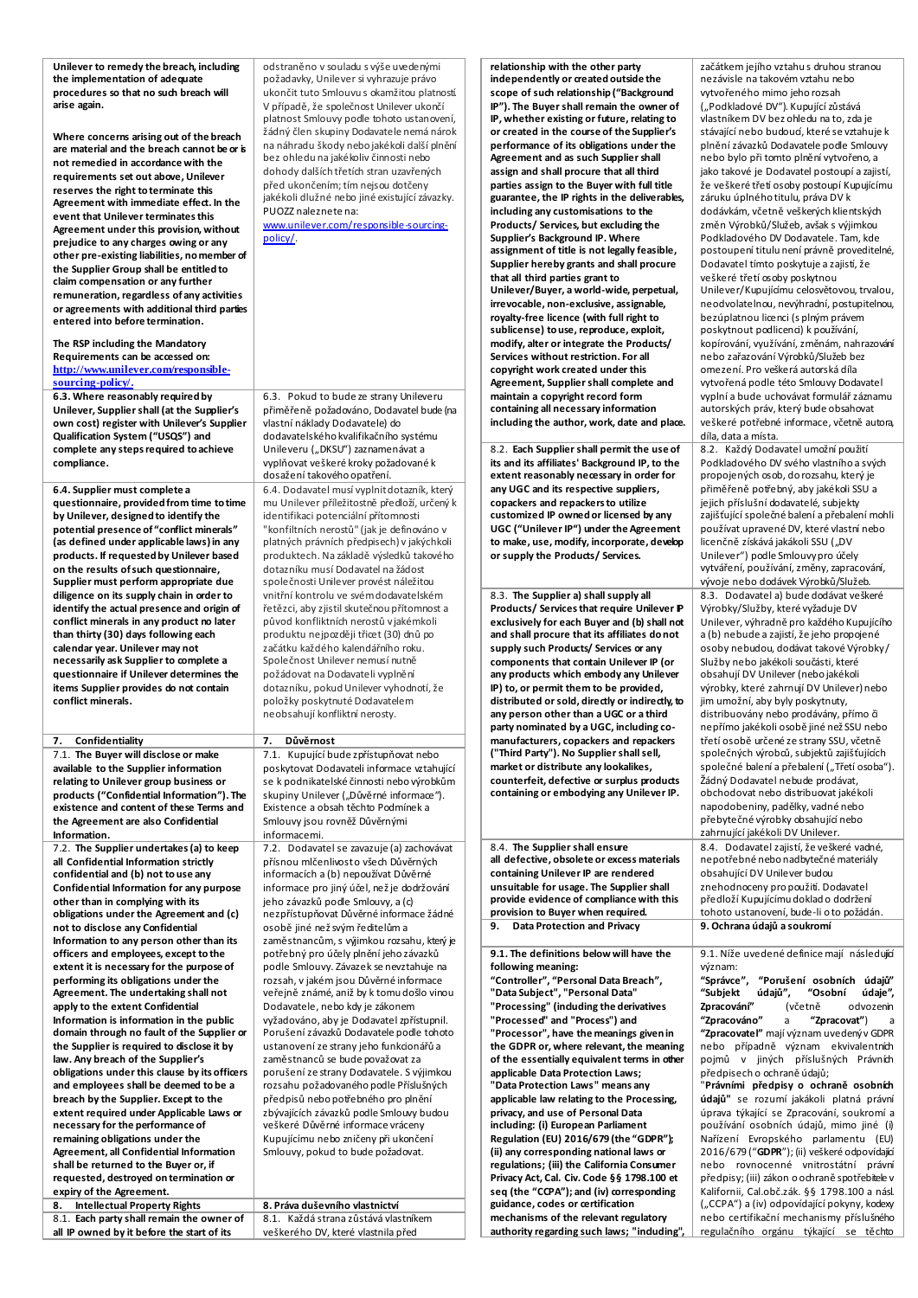| Unilever to remedy the breach, including<br>the implementation of adequate<br>procedures so that no such breach will<br>arise again.<br>Where concerns arising out of the breach<br>are material and the breach cannot be or is<br>not remedied in accordance with the<br>requirements set out above, Unilever<br>reserves the right to terminate this<br>Agreement with immediate effect. In the<br>event that Unilever terminates this<br>Agreement under this provision, without<br>prejudice to any charges owing or any<br>other pre-existing liabilities, no member of<br>the Supplier Group shall be entitled to<br>claim compensation or any further<br>remuneration, regardless of any activities<br>or agreements with additional third parties<br>entered into before termination.<br>The RSP including the Mandatory<br>Requirements can be accessed on:<br>http://www.unilever.com/responsible-<br>sourcing-policy/. | odstraněno v souladu s výše uvedenými<br>požadavky, Unilever si vyhrazuje právo<br>ukončit tuto Smlouvus okamžitou platností.<br>V případě, že společnost Unilever ukončí<br>platnost Smlouvy podle tohoto ustanovení,<br>žádný člen skupiny Dodavatele nemá nárok<br>na náhradu škody nebo jaké koli další plnění<br>bez ohledu na jakékoliv činnosti nebo<br>dohody dalších třetích stran uzavřených<br>před ukončením; tím nejsou dotčeny<br>jakékoli dlužné nebo jiné existující závazky.<br>PUOZZ naleznete na:<br>www.unilever.com/responsible-sourcing-<br>policy/                                                                       |    | relationship with the other party<br>independently or created outside the<br>scope of such relationship ("Background<br>IP"). The Buyer shall remain the owner of<br>IP, whether existing or future, relating to<br>or created in the course of the Supplier's<br>performance of its obligations under the<br>Agreement and as such Supplier shall<br>assign and shall procure that all third<br>parties assign to the Buyer with full title<br>guarantee, the IP rights in the deliverables,<br>including any customisations to the<br>Products/ Services, but excluding the<br>Supplier's Background IP. Where<br>assignment of title is not legally feasible,<br>Supplier hereby grants and shall procure<br>that all third parties grant to<br>Unilever/Buyer, a world-wide, perpetual,<br>irrevocable, non-exclusive, assignable,<br>royalty-free licence (with full right to<br>sublicense) to use, reproduce, exploit,<br>modify, alter or integrate the Products/<br>Services without restriction. For all<br>copyright work created under this<br>Agreement, Supplier shall complete and | začátkem jejího vztahu s druhou stranou<br>nezávisle na takovém vztahu nebo<br>vytvořeného mimo jeho rozsah<br>("Podkladové DV"). Kupující zůstává<br>vlastníkem DV bez ohledu na to, zda je<br>stávající nebo budoucí, které se vztahuje k<br>plnění závazků Dodavatele podle Smlouvy<br>nebo bylo při tomto plnění vytvořeno, a<br>jako takové je Dodavatel postoupí a zajistí,<br>že veškeré třetí osoby postoupí Kupujícímu<br>záruku úplného titulu, práva DV k<br>dodávkám, včetně veškerých klientských<br>změn Výrobků/Služeb, avšak s výjimkou<br>Podkladového DV Dodavatele. Tam, kde<br>postoupení titulu není právně proveditelné,<br>Dodavatel tímto poskytuje a zajistí, že<br>veškeré třetí osoby poskytnou<br>Unilever/Kupujícímu celosvětovou, trvalou,<br>neodvolatelnou, nevýhradní, postupitelnou,<br>bezúplatnou licenci (s plným právem<br>poskytnout podlicenci) k používání,<br>kopírování, využívání, změnám, nahrazování<br>nebo zařazování Výrobků/Služeb bez<br>omezení. Pro veškerá autorská díla<br>vytvořená podle této Smlouvy Dodavatel |
|-----------------------------------------------------------------------------------------------------------------------------------------------------------------------------------------------------------------------------------------------------------------------------------------------------------------------------------------------------------------------------------------------------------------------------------------------------------------------------------------------------------------------------------------------------------------------------------------------------------------------------------------------------------------------------------------------------------------------------------------------------------------------------------------------------------------------------------------------------------------------------------------------------------------------------------|-------------------------------------------------------------------------------------------------------------------------------------------------------------------------------------------------------------------------------------------------------------------------------------------------------------------------------------------------------------------------------------------------------------------------------------------------------------------------------------------------------------------------------------------------------------------------------------------------------------------------------------------------|----|---------------------------------------------------------------------------------------------------------------------------------------------------------------------------------------------------------------------------------------------------------------------------------------------------------------------------------------------------------------------------------------------------------------------------------------------------------------------------------------------------------------------------------------------------------------------------------------------------------------------------------------------------------------------------------------------------------------------------------------------------------------------------------------------------------------------------------------------------------------------------------------------------------------------------------------------------------------------------------------------------------------------------------------------------------------------------------------------------|--------------------------------------------------------------------------------------------------------------------------------------------------------------------------------------------------------------------------------------------------------------------------------------------------------------------------------------------------------------------------------------------------------------------------------------------------------------------------------------------------------------------------------------------------------------------------------------------------------------------------------------------------------------------------------------------------------------------------------------------------------------------------------------------------------------------------------------------------------------------------------------------------------------------------------------------------------------------------------------------------------------------------------------------------------------------------|
| 6.3. Where reasonably required by<br>Unilever, Supplier shall (at the Supplier's<br>own cost) register with Unilever's Supplier<br>Qualification System ("USQS") and                                                                                                                                                                                                                                                                                                                                                                                                                                                                                                                                                                                                                                                                                                                                                              | 6.3. Pokud to bude ze strany Unileveru<br>přiměřeně požadováno, Dodavatel bude (na<br>vlastní náklady Dodavatele) do<br>dodavatelského kvalifikačního systému                                                                                                                                                                                                                                                                                                                                                                                                                                                                                   |    | maintain a copyright record form<br>containing all necessary information<br>including the author, work, date and place.                                                                                                                                                                                                                                                                                                                                                                                                                                                                                                                                                                                                                                                                                                                                                                                                                                                                                                                                                                           | vyplní a bude uchovávat formulář záznamu<br>autorských práv, který bude obsahovat<br>veškeré potřebné informace, včetně autora,<br>díla, data a místa.                                                                                                                                                                                                                                                                                                                                                                                                                                                                                                                                                                                                                                                                                                                                                                                                                                                                                                                   |
| complete any steps required to achieve<br>compliance.<br>6.4. Supplier must complete a                                                                                                                                                                                                                                                                                                                                                                                                                                                                                                                                                                                                                                                                                                                                                                                                                                            | Unileveru ("DKSU") zaznamenávat a<br>vyplňovat veškeré kroky požadované k<br>dosažení takového opatření.<br>6.4. Dodavatel musí vyplnit dotazník, který                                                                                                                                                                                                                                                                                                                                                                                                                                                                                         |    | 8.2. Each Supplier shall permit the use of<br>its and its affiliates' Background IP, to the<br>extent reasonably necessary in order for<br>any UGC and its respective suppliers,                                                                                                                                                                                                                                                                                                                                                                                                                                                                                                                                                                                                                                                                                                                                                                                                                                                                                                                  | 8.2. Každý Dodavatel umožní použití<br>Podkladového DV svého vlastního a svých<br>propojených osob, do rozsahu, který je<br>přiměřeně potřebný, aby jakékoli SSU a                                                                                                                                                                                                                                                                                                                                                                                                                                                                                                                                                                                                                                                                                                                                                                                                                                                                                                       |
| questionnaire, provided from time to time<br>by Unilever, designed to identify the<br>potential presence of "conflict minerals"<br>(as defined under applicable laws) in any<br>products. If requested by Unilever based<br>on the results of such questionnaire,<br>Supplier must perform appropriate due                                                                                                                                                                                                                                                                                                                                                                                                                                                                                                                                                                                                                        | mu Unilever příležitostně předloží, určený k<br>identifikaci potenciální přítomnosti<br>"konfiltních nerostů" (jak je definováno v<br>platných právních předpisech) v jakýchkoli<br>produktech. Na základě výsledků takového<br>dotazníku musí Dodavatel na žádost<br>společnosti Unilever provést náležitou                                                                                                                                                                                                                                                                                                                                    |    | copackers and repackers to utilize<br>customized IP owned or licensed by any<br>UGC ("Unilever IP") under the Agreement<br>to make, use, modify, incorporate, develop<br>or supply the Products/ Services.                                                                                                                                                                                                                                                                                                                                                                                                                                                                                                                                                                                                                                                                                                                                                                                                                                                                                        | jejich příslušní dodavatelé, subjekty<br>zajišťující společné balení a přebalení mohli<br>používat upravené DV, které vlastní nebo<br>licenčně získává jakákoli SSU ("DV<br>Unilever") podle Smlouvy pro účely<br>vytváření, používání, změny, zapracování,<br>vývoje nebo dodávek Výrobků/Služeb.                                                                                                                                                                                                                                                                                                                                                                                                                                                                                                                                                                                                                                                                                                                                                                       |
| diligence on its supply chain in order to<br>identify the actual presence and origin of<br>conflict minerals in any product no later<br>than thirty (30) days following each<br>calendar year. Unilever may not<br>necessarily ask Supplier to complete a<br>questionnaire if Unilever determines the<br>items Supplier provides do not contain<br>conflict minerals.                                                                                                                                                                                                                                                                                                                                                                                                                                                                                                                                                             | vnitřní kontrolu ve svém dodavatelském<br>řetězci, aby zjistil skutečnou přítomnost a<br>původ konfliktních nerostů vjakémkoli<br>produktu nejpozději třicet (30) dnů po<br>začátku každého kalendářního roku.<br>Společnost Unilever nemusí nutně<br>požádovat na Dodavateli vyplnění<br>dotazníku, pokud Unilever vyhodnotí, že<br>položky poskytnuté Dodavatelem<br>neobsahují konfliktní nerosty.                                                                                                                                                                                                                                           |    | 8.3. The Supplier a) shall supply all<br>Products/ Services that require Unilever P<br>exclusively for each Buyer and (b) shall not<br>and shall procure that its affiliates donot<br>supply such Products/ Services or any<br>components that contain Unilever IP (or<br>any products which embody any Unilever<br>IP) to, or permit them to be provided,<br>distributed or sold, directly or indirectly, to<br>any person other than a UGC or a third<br>party nominated by a UGC, including co-                                                                                                                                                                                                                                                                                                                                                                                                                                                                                                                                                                                                | 8.3. Dodavatel a) bude dodávat veškeré<br>Výrobky/Služby, které vyžaduje DV<br>Unilever, výhradně pro každého Kupujícího<br>a (b) nebude a zajistí, že jeho propojené<br>osoby nebudou, dodávat takové Výrobky/<br>Služby nebo jakékoli součásti, které<br>obsahují DV Unilever (nebo jaké koli<br>výrobky, které zahrnují DV Unilever) nebo<br>jim umožní, aby byly poskytnuty,<br>distribuovány nebo prodávány, přímo či<br>nepřímo jakékoli osobě jiné než SSU nebo                                                                                                                                                                                                                                                                                                                                                                                                                                                                                                                                                                                                   |
| 7. Confidentiality<br>7.1. The Buyer will disclose or make<br>available to the Supplier information<br>relating to Unilever group business or<br>products ("Confidential Information"). The<br>existence and content of these Terms and<br>the Agreement are also Confidential<br>Information.                                                                                                                                                                                                                                                                                                                                                                                                                                                                                                                                                                                                                                    | 7. Důvěrnost<br>7.1. Kupující bude zpřístupňovat nebo<br>poskytovat Dodavateli informace vztahující<br>se k podnikatelské činnosti nebo výrobkům<br>skupiny Unilever ("Důvěrné informace").<br>Existence a obsah těchto Podmínek a<br>Smlouvy jsou rovněž Důvěrnými<br>informacemi.                                                                                                                                                                                                                                                                                                                                                             |    | manufacturers, copackers and repackers<br>("Third Party"). No Supplier shall sell,<br>market or distribute any lookalikes,<br>counterfeit, defective or surplus products<br>containing or embodying any Unilever IP.                                                                                                                                                                                                                                                                                                                                                                                                                                                                                                                                                                                                                                                                                                                                                                                                                                                                              | třetí osobě určené ze strany SSU, včetně<br>společných výrobců, subjektů zajišťujících<br>společné balení a přebalení ("Třetí osoba").<br>Žádný Dodavatel nebude prodávat,<br>obchodovat nebo distribuovat jakékoli<br>napodobeniny, padělky, vadné nebo<br>přebytečné výrobky obsahující nebo<br>zahrnující jakékoli DV Unilever.                                                                                                                                                                                                                                                                                                                                                                                                                                                                                                                                                                                                                                                                                                                                       |
| 7.2. The Supplier undertakes (a) to keep<br>all Confidential Information strictly<br>confidential and (b) not to use any<br>Confidential Information for any purpose<br>other than in complying with its<br>obligations under the Agreement and (c)<br>not to disclose any Confidential                                                                                                                                                                                                                                                                                                                                                                                                                                                                                                                                                                                                                                           | 7.2. Dodavatel se zavazuje (a) zachovávat<br>přísnou mlčenlivosto všech Důvěrných<br>informacích a (b) nepoužívat Důvěrné<br>informace pro jiný účel, než je dodržování<br>jeho závazků podle Smlouvy, a (c)<br>nezpřístupňovat Důvěrné informace žádné<br>osobě jiné než svým ředitelům a                                                                                                                                                                                                                                                                                                                                                      | 9. | 8.4. The Supplier shall ensure<br>all defective, obsolete or excess materials<br>containing Unilever IP are rendered<br>unsuitable for usage. The Supplier shall<br>provide evidence of compliance with this<br>provision to Buyer when required.<br><b>Data Protection and Privacy</b>                                                                                                                                                                                                                                                                                                                                                                                                                                                                                                                                                                                                                                                                                                                                                                                                           | 8.4. Dodavatel zajistí, že veškeré vadné,<br>nepotřebné nebo nadbytečné materiály<br>obsahující DV Unilever budou<br>znehodnoceny pro použití. Dodavatel<br>předloží Kupujícímu doklad o dodržení<br>tohoto ustanovení, bude-li o to požádán.<br>9. Ochrana údajů a soukromí                                                                                                                                                                                                                                                                                                                                                                                                                                                                                                                                                                                                                                                                                                                                                                                             |
| Information to any person other than its<br>officers and employees, except to the<br>extent it is necessary for the purpose of<br>performing its obligations under the<br>Agreement. The undertaking shall not<br>apply to the extent Confidential<br>Information is information in the public<br>domain through no fault of the Supplier or<br>the Supplier is required to disclose it by<br>law. Any breach of the Supplier's<br>obligations under this clause by its officers<br>and employees shall be deemed to be a<br>breach by the Supplier. Except to the<br>extent required under Applicable Laws or                                                                                                                                                                                                                                                                                                                    | zaměstnancům, s výjimkou rozsahu, který je<br>potřebný pro účely plnění jeho závazků<br>podle Smlouvy. Závazek se nevztahuje na<br>rozsah, v jakém jsou Důvěrné informace<br>veřejně známé, aniž by k tomu došlo vinou<br>Dodavatele, nebo kdy je zákonem<br>vyžadováno, aby je Dodavatel zpřístupnil.<br>Porušení závazků Dodavatele podle tohoto<br>ustanovení ze strany jeho funkcionářů a<br>zaměstnanců se bude považovat za<br>porušení ze strany Dodavatele. S výjimkou<br>rozsahu požadovaného podle Příslušných<br>předpisů nebo potřebného pro plnění<br>zbývajících závazků podle Smlouvy budou<br>veškeré Důvěrné informace vráceny |    | 9.1. The definitions below will have the<br>following meaning:<br>"Controller", "Personal Data Breach",<br>"Data Subject", "Personal Data"<br>"Processing" (induding the derivatives<br>"Processed" and "Process") and<br>"Processor", have the meanings given in<br>the GDPR or, where relevant, the meaning<br>of the essentially equivalent terms in other<br>applicable Data Protection Laws;<br>"Data Protection Laws" means any<br>applicable law relating to the Processing,<br>privacy, and use of Personal Data                                                                                                                                                                                                                                                                                                                                                                                                                                                                                                                                                                          | 9.1. Níže uvedené definice mají následující<br>význam:<br>"Správce", "Porušení osobních údajů"<br>údajů",<br>"Osobní údaje",<br>"Subjekt<br>Zpracování"<br>(včetně<br>odvozenin<br>"Zpracováno"<br>"Zpracovat")<br>a<br>a<br>"Zpracovateľ" mají význam uvedený v GDPR<br>nebo případně význam ekvivalentních<br>pojmů v jiných příslušných Právních<br>předpisech o ochraně údajů;<br>"Právními předpisy o ochraně osobních<br>údajů" se rozumí jakákoli platná právní<br>úprava týkající se Zpracování, soukromí a<br>používání osobních údajů, mimo jiné (i)                                                                                                                                                                                                                                                                                                                                                                                                                                                                                                           |
| necessary for the performance of<br>remaining obligations under the<br><b>Agreement, all Confidential Information</b><br>shall be returned to the Buyer or, if<br>requested, destroyed on termination or<br>expiry of the Agreement.<br><b>Intellectual Property Rights</b><br>8.<br>8.1. Each party shall remain the owner of                                                                                                                                                                                                                                                                                                                                                                                                                                                                                                                                                                                                    | Kupujícímu nebo zničeny při ukončení<br>Smlouvy, pokud to bude požadovat.<br>8. Práva duševního vlastnictví<br>8.1. Každá strana zůstává vlastníkem                                                                                                                                                                                                                                                                                                                                                                                                                                                                                             |    | including: (i) European Parliament<br>Regulation (EU) 2016/679 (the "GDPR");<br>(ii) any corresponding national laws or<br>regulations; (iii) the California Consumer<br>Privacy Act, Cal. Civ. Code §§ 1798.100 et<br>seq (the "CCPA"); and (iv) corresponding<br>guidance, codes or certification<br>mechanisms of the relevant regulatory                                                                                                                                                                                                                                                                                                                                                                                                                                                                                                                                                                                                                                                                                                                                                      | Nařízení Evropského parlamentu (EU)<br>2016/679 ("GDPR"); (ii) veškeré odpovídající<br>nebo rovnocenné vnitrostátní právní<br>předpisy; (iii) zákon o ochraně spotřebitele v<br>Kalifornii, Cal.obč.zák. §§ 1798.100 a násl.<br>("CCPA") a (iv) odpovídající pokyny, kodexy<br>nebo certifikační mechanismy příslušného                                                                                                                                                                                                                                                                                                                                                                                                                                                                                                                                                                                                                                                                                                                                                  |
| all IP owned by it before the start of its                                                                                                                                                                                                                                                                                                                                                                                                                                                                                                                                                                                                                                                                                                                                                                                                                                                                                        | veškerého DV, které vlastnila před                                                                                                                                                                                                                                                                                                                                                                                                                                                                                                                                                                                                              |    | authority regarding such laws; "induding",                                                                                                                                                                                                                                                                                                                                                                                                                                                                                                                                                                                                                                                                                                                                                                                                                                                                                                                                                                                                                                                        | regulačního orgánu týkající se těchto                                                                                                                                                                                                                                                                                                                                                                                                                                                                                                                                                                                                                                                                                                                                                                                                                                                                                                                                                                                                                                    |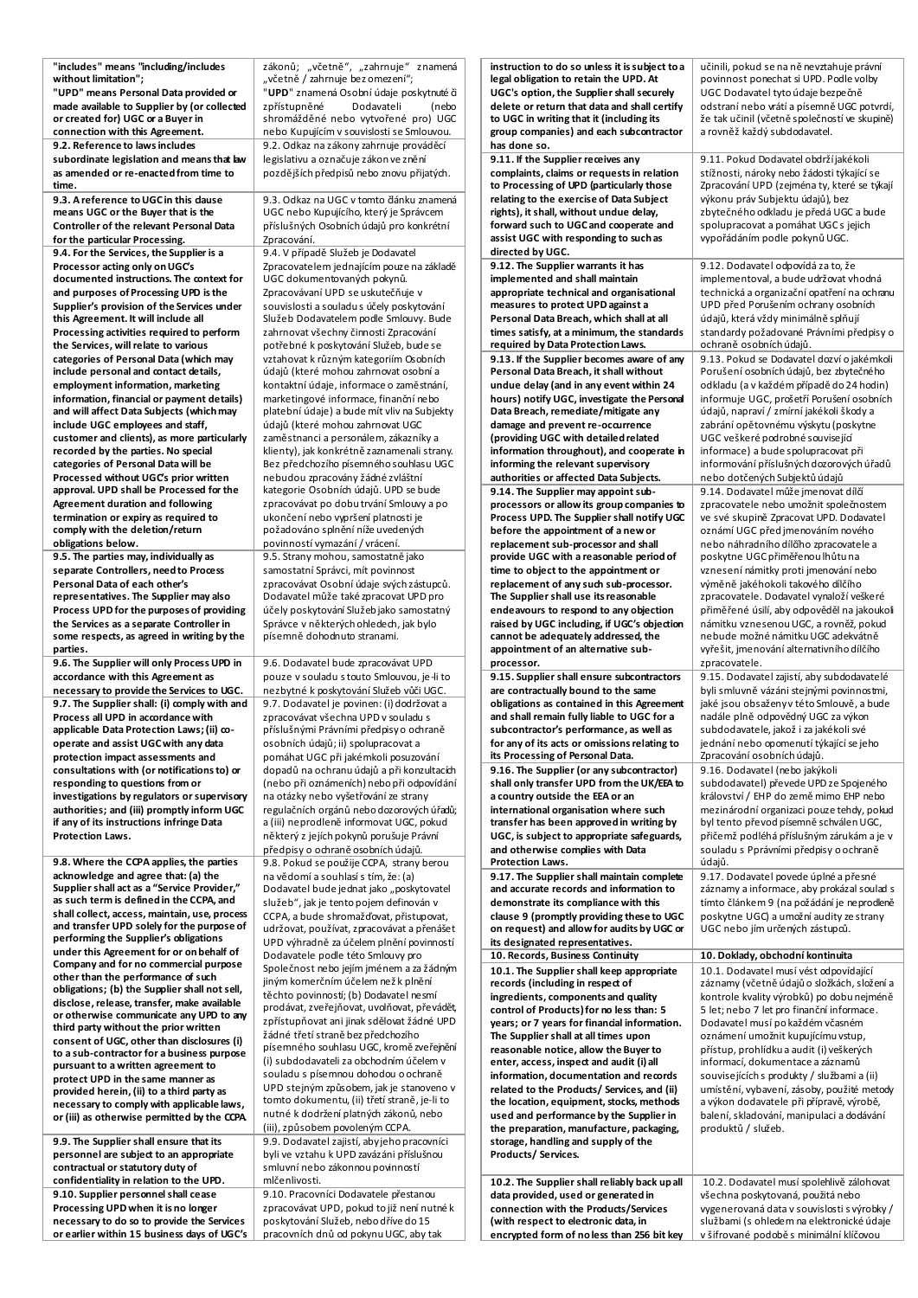| "includes" means "including/includes<br>without limitation";                                | zákonů; "včetně", "zahrnuje" znamená<br>"včetně / zahrnuje bez omezení";                | instruction to do so unless it is subject to a<br>legal obligation to retain the UPD. At | učinili, pokud se na ně nevztahuje právní<br>povinnost ponechat si UPD. Podle volby      |
|---------------------------------------------------------------------------------------------|-----------------------------------------------------------------------------------------|------------------------------------------------------------------------------------------|------------------------------------------------------------------------------------------|
| "UPD" means Personal Data provided or                                                       | "UPD" znamená Osobní údaje poskytnuté či                                                | UGC's option, the Supplier shall securely                                                | UGC Dodavatel tyto údaje bezpečně                                                        |
| made available to Supplier by (or collected                                                 | zpřístupněné<br>Dodavateli<br>(nebo                                                     | delete or return that data and shall certify                                             | odstraní nebo vrátí a písemně UGC potvrdí,                                               |
| or created for) UGC or a Buyer in                                                           | shromážděné nebo vytvořené pro) UGC                                                     | to UGC in writing that it (including its                                                 | že tak učinil (včetně společností ve skupině)                                            |
| connection with this Agreement.<br>9.2. Reference to laws includes                          | nebo Kupujícím v souvislosti se Smlouvou.<br>9.2. Odkaz na zákony zahrnuje prováděcí    | group companies) and each subcontractor<br>has done so.                                  | a rovněž každý subdodavatel.                                                             |
| subordinate legislation and means that law                                                  | legislativu a označuje zákon ve znění                                                   | 9.11. If the Supplier receives any                                                       | 9.11. Pokud Dodavatel obdrží jaké koli                                                   |
| as amended or re-enacted from time to                                                       | pozdějších předpisů nebo znovu přijatých.                                               | complaints, claims or requests in relation                                               | stížnosti, nároky nebo žádosti týkající se                                               |
| time.                                                                                       |                                                                                         | to Processing of UPD (particularly those<br>relating to the exercise of Data Subject     | Zpracování UPD (zejména ty, které se týkají<br>výkonu práv Subjektu údajů), bez          |
| 9.3. A reference to UGC in this dause<br>means UGC or the Buyer that is the                 | 9.3. Odkaz na UGC v tomto článku znamená<br>UGC nebo Kupujícího, který je Správcem      | rights), it shall, without undue delay,                                                  | zbytečného odkladu je předá UGC a bude                                                   |
| Controller of the relevant Personal Data                                                    | příslušných Osobních údajů pro konkrétní                                                | forward such to UGC and cooperate and                                                    | spolupracovat a pomáhat UGCs jejich                                                      |
| for the particular Processing.                                                              | Zpracování.                                                                             | assist UGC with responding to such as                                                    | vypořádáním podle pokynů UGC.                                                            |
| 9.4. For the Services, the Supplier is a<br>Processor acting only on UGC's                  | 9.4. V případě Služeb je Dodavatel<br>Zpracovatelem jednajícím pouze na základě         | directed by UGC.<br>9.12. The Supplier warrants it has                                   | 9.12. Dodavatel odpovídá za to, že                                                       |
| documented instructions. The context for                                                    | UGC dokumentovaných pokynů.                                                             | implemented and shall maintain                                                           | implementoval, a bude udržovat vhodná                                                    |
| and purposes of Processing UPD is the                                                       | Zpracovávaní UPD se uskutečňuje v                                                       | appropriate technical and organisational                                                 | technická a organizační opatření na ochranu                                              |
| Supplier's provision of the Services under                                                  | souvislosti a souladu s účely poskytování<br>Služeb Dodavatelem podle Smlouvy. Bude     | measures to protect UPD against a<br>Personal Data Breach, which shall at all            | UPD před Porušením ochrany osobních<br>údajů, která vždy minimálně splňují               |
| this Agreement. It will include all<br>Processing activities required to perform            | zahrnovat všechny činnosti Zpracování                                                   | times satisfy, at a minimum, the standards                                               | standardy požadované Právními předpisy o                                                 |
| the Services, will relate to various                                                        | potřebné k poskytování Služeb, bude se                                                  | required by Data Protection Laws.                                                        | ochraně osobních údajů.                                                                  |
| categories of Personal Data (which may                                                      | vztahovat k různým kategoriím Osobních                                                  | 9.13. If the Supplier becomes aware of any                                               | 9.13. Pokud se Dodavatel dozví o jakémkoli                                               |
| include personal and contact details,<br>employment information, marketing                  | údajů (které mohou zahrnovat osobní a<br>kontaktní údaje, informace o zaměstnání,       | Personal Data Breach, it shall without<br>undue delay (and in any event within 24        | Porušení osobních údajů, bez zbytečného<br>odkladu (a v každém případě do 24 hodin)      |
| information, financial or payment details)                                                  | marketingové informace, finanční nebo                                                   | hours) notify UGC, investigate the Personal                                              | informuje UGC, prošetří Porušení osobních                                                |
| and will affect Data Subjects (which may                                                    | platební údaje) a bude mít vliv na Subjekty                                             | Data Breach, remediate/mitigate any                                                      | údajů, napraví / zmírní jakékoli škody a                                                 |
| include UGC employees and staff,<br>customer and clients), as more particularly             | údajů (které mohou zahrnovat UGC<br>zaměstnanci a personálem, zákazníky a               | damage and prevent re-occurrence<br>(providing UGC with detailed related                 | zabrání opětovnému výskytu (poskytne<br>UGC veškeré podrobné související                 |
| recorded by the parties. No special                                                         | klienty), jak konkrétně zaznamenali strany.                                             | information throughout), and cooperate in                                                | informace) a bude spolupracovat při                                                      |
| categories of Personal Data will be                                                         | Bez předchozího písemného souhlasu UGC                                                  | informing the relevant supervisory                                                       | informování příslušných dozorových úřadů                                                 |
| Processed without UGC's prior written<br>approval. UPD shall be Processed for the           | nebudou zpracovány žádné zvláštní<br>kategorie Osobních údajů. UPD se bude              | authorities or affected Data Subjects.                                                   | nebo dotčených Subjektů údajů<br>9.14. Dodavatel může jmenovat dílčí                     |
| <b>Agreement duration and following</b>                                                     | zpracovávat po dobu trvání Smlouvy a po                                                 | 9.14. The Supplier may appoint sub-<br>processors or allow its group companies to        | zpracovatele nebo umožnit společnostem                                                   |
| termination or expiry as required to                                                        | ukončení nebo vypršení platnosti je                                                     | Process UPD. The Supplier shall notify UGC                                               | ve své skupině Zpracovat UPD. Dodavatel                                                  |
| comply with the deletion/return<br>obligations below.                                       | požadováno splnění níže uvedených                                                       | before the appointment of a new or                                                       | oznámí UGC před jmenováním nového                                                        |
| 9.5. The parties may, individually as                                                       | povinností vymazání / vrácení.<br>9.5. Strany mohou, samostatně jako                    | replacement sub-processor and shall<br>provide UGC with a reasonable period of           | nebo náhradního dílčího zpracovatele a<br>poskytne UGC přiměřenou lhůtu na               |
| separate Controllers, need to Process                                                       | samostatní Správci, mít povinnost                                                       | time to object to the appointment or                                                     | vznesení námitky proti jmenování nebo                                                    |
| Personal Data of each other's                                                               | zpracovávat Osobní údaje svých zástupců.                                                | replacement of any such sub-processor.                                                   | výměně jakéhokoli takového dílčího                                                       |
| representatives. The Supplier may also<br>Process UPD for the purposes of providing         | Dodavatel může také zpracovat UPD pro<br>účely poskytování Služeb jako samostatný       | The Supplier shall use its reasonable<br>endeavours to respond to any objection          | zpracovatele. Dodavatel vynaloží veškeré<br>přiměřené úsilí, aby odpověděl na jakoukoli  |
| the Services as a separate Controller in                                                    | Správce v některých ohledech, jak bylo                                                  | raised by UGC including, if UGC's objection                                              | námitku vznesenou UGC, a rovněž, pokud                                                   |
| some respects, as agreed in writing by the                                                  | písemně dohodnuto stranami.                                                             | cannot be adequately addressed, the                                                      | nebude možné námitku UGC adekvátně                                                       |
|                                                                                             |                                                                                         | appointment of an alternative sub-                                                       | vyřešit, jmenování alternativního dílčího                                                |
| parties.                                                                                    |                                                                                         |                                                                                          |                                                                                          |
| 9.6. The Supplier will only Process UPD in<br>accordance with this Agreement as             | 9.6. Dodavatel bude zpracovávat UPD<br>pouze v souladu s touto Smlouvou, je-li to       | processor.<br>9.15. Supplier shall ensure subcontractors                                 | zpracovatele.<br>9.15. Dodavatel zajistí, aby subdodavatelé                              |
| necessary to provide the Services to UGC.                                                   | nezbytné k poskytování Služeb vůči UGC.                                                 | are contractually bound to the same                                                      | byli smluvně vázáni stejnými povinnostmi,                                                |
| 9.7. The Supplier shall: (i) comply with and                                                | 9.7. Dodavatel je povinen: (i) dodržovat a                                              | obligations as contained in this Agreement<br>and shall remain fully liable to UGC for a | jaké jsou obsaženy v této Smlouvě, a bude<br>nadále plně odpovědný UGC za výkon          |
| Process all UPD in accordance with<br>applicable Data Protection Laws; (ii) co-             | zpracovávat všechna UPD v souladu s<br>příslušnými Právními předpisy o ochraně          | subcontractor's performance, as well as                                                  | subdodavatele, jakož i za jakékoli své                                                   |
| operate and assist UGC with any data                                                        | osobních údajů; ii) spolupracovat a                                                     | for any of its acts or omissions relating to                                             | jednání nebo opomenutí týkající se jeho                                                  |
| protection impact assessments and                                                           | pomáhat UGC při jakémkoli posuzování                                                    | its Processing of Personal Data.                                                         | Zpracování osobních údajů.                                                               |
| consultations with (or notifications to) or<br>responding to questions from or              | dopadů na ochranu údajů a při konzultacích<br>(nebo při oznámeních) nebo při odpovídání | 9.16. The Supplier (or any subcontractor)<br>shall only transfer UPD from the UK/EEA to  | 9.16. Dodavatel (nebo jakýkoli<br>subdodavatel) převede UPD ze Spojeného                 |
| investigations by regulators or supervisory                                                 | na otázky nebo vyšetřování ze strany                                                    | a country outside the EEA or an                                                          | království / EHP do země mimo EHP nebo                                                   |
| authorities; and (iii) promptly inform UGC                                                  | regulačních orgánů nebo dozorových úřadů;                                               | international organisation where such                                                    | mezinárodní organizaci pouze tehdy, pokud                                                |
| if any of its instructions infringe Data<br>Protection Laws.                                | a (iii) neprodleně informovat UGC, pokud<br>některý z jejích pokynů porušuje Právní     | transfer has been approved in writing by<br>UGC, is subject to appropriate safeguards,   | byl tento převod písemně schválen UGC,<br>přičemž podléhá příslušným zárukám a je v      |
|                                                                                             | předpisy o ochraně osobních údajů.                                                      | and otherwise complies with Data                                                         | souladu s Pprávními předpisy o ochraně                                                   |
| 9.8. Where the CCPA applies, the parties                                                    | 9.8. Pokud se použije CCPA, strany berou                                                | Protection Laws.                                                                         | údajů.                                                                                   |
| acknowledge and agree that: (a) the<br>Supplier shall act as a "Service Provider,"          | na vědomí a souhlasí s tím, že: (a)<br>Dodavatel bude jednat jako "poskytovatel         | 9.17. The Supplier shall maintain complete<br>and accurate records and information to    | 9.17. Dodavatel povede úplné a přesné<br>záznamy a informace, aby prokázal soulad s      |
| as such term is defined in the CCPA, and                                                    | služeb", jak je tento pojem definován v                                                 | demonstrate its compliance with this                                                     | tímto článkem 9 (na požádání je neprodleně                                               |
| shall collect, access, maintain, use, process<br>and transfer UPD solely for the purpose of | CCPA, a bude shromažďovat, přistupovat,                                                 | clause 9 (promptly providing these to UGC                                                | poskytne UGC) a umožní audity ze strany                                                  |
| performing the Supplier's obligations                                                       | udržovat, používat, zpracovávat a přenášet<br>UPD výhradně za účelem plnění povinností  | on request) and allow for audits by UGC or<br>its designated representatives.            | UGC nebo jím určených zástupců.                                                          |
| under this Agreement for or on behalf of<br>Company and for no commercial purpose           | Dodavatele podle této Smlouvy pro                                                       | 10. Records, Business Continuity                                                         | 10. Doklady, obchodní kontinuita                                                         |
| other than the performance of such                                                          | Společnost nebo jejím jménem a za žádným<br>jiným komerčním účelem než k plnění         | 10.1. The Supplier shall keep appropriate<br>records (including in respect of            | 10.1. Dodavatel musí vést odpovídající<br>záznamy (včetně údajů o složkách, složení a    |
| obligations; (b) the Supplier shall not sell,                                               | těchto povinností; (b) Dodavatel nesmí                                                  | ingredients, components and quality                                                      | kontrole kvality výrobků) po dobu nejméně                                                |
| disclose, release, transfer, make available<br>or otherwise communicate any UPD to any      | prodávat, zveřejňovat, uvolňovat, převádět,                                             | control of Products) for no less than: 5                                                 | 5 let; nebo 7 let pro finanční informace.                                                |
| third party without the prior written                                                       | zpřístupňovat ani jinak sdělovat žádné UPD<br>žádné třetí straně bez předchozího        | years; or 7 years for financial information.                                             | Dodavatel musí po každém včasném                                                         |
| consent of UGC, other than disclosures (i)<br>to a sub-contractor for a business purpose    | písemného souhlasu UGC, kromě zveřejnění                                                | The Supplier shall at all times upon<br>reasonable notice, allow the Buyer to            | oznámení umožnit kupujícímu vstup,<br>přístup, prohlídku a audit (i) veškerých           |
| pursuant to a written agreement to                                                          | (i) subdodavateli za obchodním účelem v                                                 | enter, access, inspect and audit (i) all                                                 | informací, dokumentace a záznamů                                                         |
| protect UPD in the same manner as                                                           | souladu s písemnou dohodou o ochraně<br>UPD stejným způsobem, jak je stanoveno v        | information, documentation and records<br>related to the Products/Services, and (ii)     | souvisejících s produkty / službami a (ii)<br>umístění, vybavení, zásoby, použité metody |
| provided herein, (ii) to a third party as<br>necessary to comply with applicable laws,      | tomto dokumentu, (ii) třetí straně, je-li to                                            | the location, equipment, stocks, methods                                                 | a výkon dodavatele při přípravě, výrobě,                                                 |
| or (iii) as otherwise permitted by the CCPA                                                 | nutné k dodržení platných zákonů, nebo                                                  | used and performance by the Supplier in                                                  | balení, skladování, manipulaci a dodávání                                                |
| 9.9. The Supplier shall ensure that its                                                     | (iii), způsobem povoleným CCPA.<br>9.9. Dodavatel zajistí, aby jeho pracovníci          | the preparation, manufacture, packaging,<br>storage, handling and supply of the          | produktů / služeb.                                                                       |
| personnel are subject to an appropriate                                                     | byli ve vztahu k UPD zavázáni příslušnou                                                | Products/Services.                                                                       |                                                                                          |
| contractual or statutory duty of                                                            | smluvní nebo zákonnou povinností                                                        |                                                                                          |                                                                                          |
| confidentiality in relation to the UPD.<br>9.10. Supplier personnel shall cease             | mlčenlivosti.<br>9.10. Pracovníci Dodavatele přestanou                                  | 10.2. The Supplier shall reliably back up all                                            | 10.2. Dodavatel musí spolehlivě zálohovat<br>všechna poskytovaná, použitá nebo           |
| Processing UPD when it is no longer                                                         | zpracovávat UPD, pokud to již není nutné k                                              | data provided, used or generated in<br>connection with the Products/Services             | vygenerovaná data v souvislosti s výrobky /                                              |
| necessary to do so to provide the Services<br>or earlier within 15 business days of UGC's   | poskytování Služeb, nebo dříve do 15<br>pracovních dnů od pokynu UGC, aby tak           | (with respect to electronic data, in<br>encrypted form of noless than 256 bit key        | službami (s ohledem na elektronické údaje<br>v šifrované podobě s minimální klíčovou     |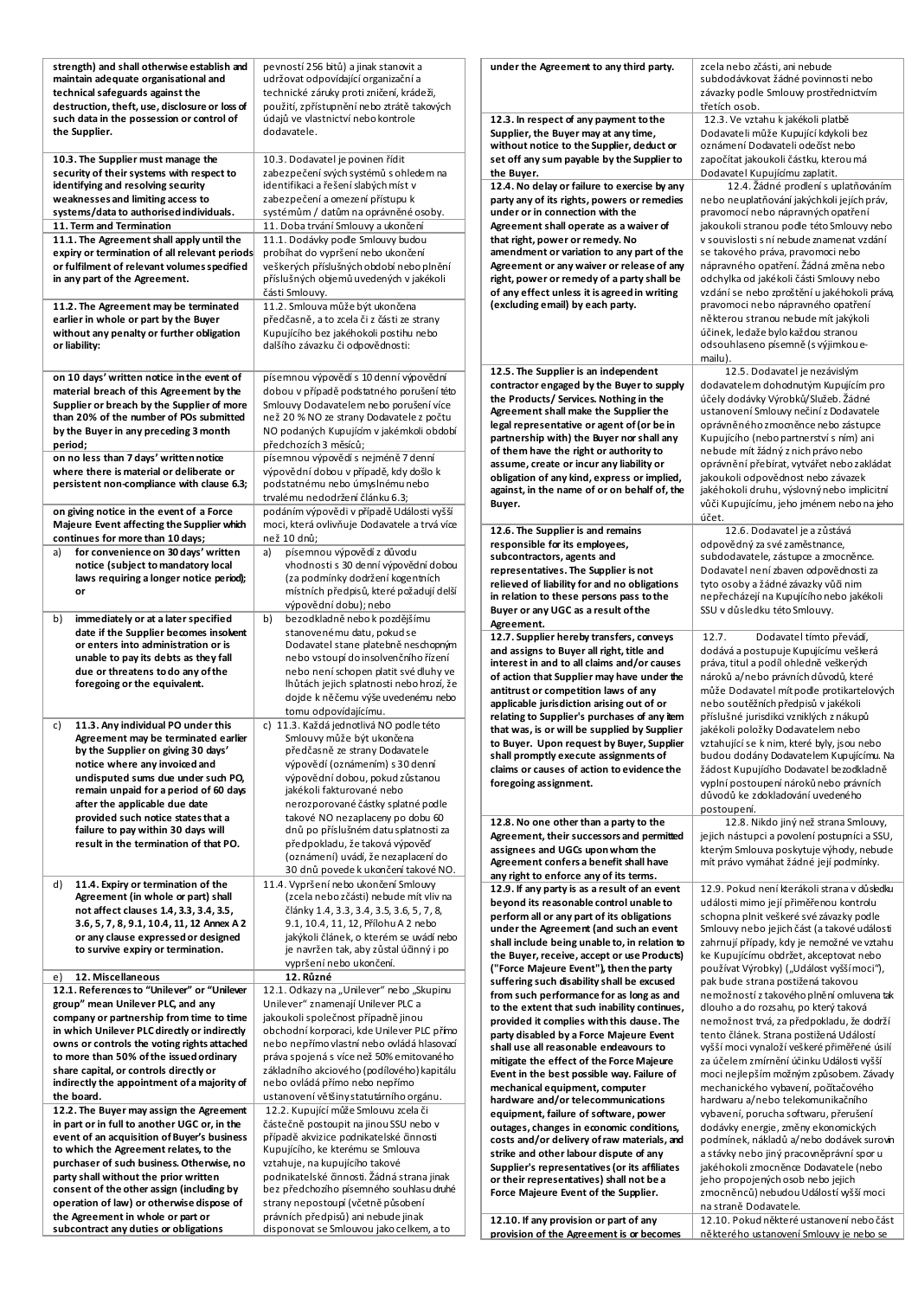| strength) and shall otherwise establish and<br>maintain adequate organisational and<br>technical safeguards against the<br>destruction, theft, use, disclosure or loss of | pevností 256 bitů) a jinak stanovit a<br>udržovat odpovídající organizační a<br>technické záruky proti zničení, krádeži,<br>použití, zpřístupnění nebo ztrátě takových | under the Agreement to any third party.                                                                                                                                   | zcela nebo zčásti, ani nebude<br>subdodávkovat žádné povinnosti nebo<br>závazky podle Smlouvy prostřednictvím<br>třetích osob.                         |
|---------------------------------------------------------------------------------------------------------------------------------------------------------------------------|------------------------------------------------------------------------------------------------------------------------------------------------------------------------|---------------------------------------------------------------------------------------------------------------------------------------------------------------------------|--------------------------------------------------------------------------------------------------------------------------------------------------------|
| such data in the possession or control of<br>the Supplier.<br>10.3. The Supplier must manage the                                                                          | údajů ve vlastnictví nebo kontrole<br>dodavatele.<br>10.3. Dodavatel je povinen řídit                                                                                  | 12.3. In respect of any payment to the<br>Supplier, the Buyer may at any time,<br>without notice to the Supplier, deduct or<br>set off any sum payable by the Supplier to | 12.3. Ve vztahu k jakékoli platbě<br>Dodavateli může Kupující kdykoli bez<br>oznámení Dodavateli odečíst nebo<br>započítat jakoukoli částku, kterou má |
| security of their systems with respect to<br>identifying and resolving security<br>weaknesses and limiting access to                                                      | zabezpečení svých systémů s ohledem na<br>identifikaci a řešení slabých míst v<br>zabezpečení a omezení přístupu k                                                     | the Buyer.<br>12.4. No delay or failure to exercise by any<br>party any of its rights, powers or remedies                                                                 | Dodavatel Kupujícímu zaplatit.<br>12.4. Žádné prodlení s uplatňováním<br>nebo neuplatňování jakýchkoli jejích práv,                                    |
| systems/data to authorised individuals.                                                                                                                                   | systémům / datům na oprávněné osoby.                                                                                                                                   | under or in connection with the                                                                                                                                           | pravomocí nebo nápravných opatření                                                                                                                     |
| 11. Term and Termination                                                                                                                                                  | 11. Doba trvání Smlouvy a ukončení                                                                                                                                     | Agreement shall operate as a waiver of                                                                                                                                    | jakoukoli stranou podle této Smlouvy nebo                                                                                                              |
| 11.1. The Agreement shall apply until the<br>expiry or termination of all relevant periods                                                                                | 11.1. Dodávky podle Smlouvy budou<br>probíhat do vypršení nebo ukončení                                                                                                | that right, power or remedy. No<br>amendment or variation to any part of the                                                                                              | v souvislosti s ní nebude znamenat vzdání<br>se takového práva, pravomoci nebo                                                                         |
| or fulfilment of relevant volumes specified<br>in any part of the Agreement.                                                                                              | veškerých příslušných období nebo plnění<br>příslušných objemů uvedených v jakékoli<br>části Smlouvy.                                                                  | Agreement or any waiver or release of any<br>right, power or remedy of a party shall be<br>of any effect unless it is agreed in writing                                   | nápravného opatření. Žádná změna nebo<br>odchylka od jaké koli části Smlouvy nebo<br>vzdání se nebo zproštění u jakéhokoli práva,                      |
| 11.2. The Agreement may be terminated                                                                                                                                     | 11.2. Smlouva může být ukončena                                                                                                                                        | (excluding email) by each party.                                                                                                                                          | pravomoci nebo nápravného opatření                                                                                                                     |
| earlier in whole or part by the Buyer<br>without any penalty or further obligation<br>or liability:                                                                       | předčasně, a to zcela či z části ze strany<br>Kupujícího bez jakéhokoli postihu nebo<br>dalšího závazku či odpovědnosti:                                               |                                                                                                                                                                           | některou stranou nebude mít jakýkoli<br>účinek, ledaže bylo každou stranou<br>odsouhlaseno písemně (s výjimkou e-<br>mailu).                           |
| on 10 days' written notice in the event of                                                                                                                                | písemnou výpovědí s 10 denní výpovědní                                                                                                                                 | 12.5. The Supplier is an independent                                                                                                                                      | 12.5. Dodavatel je nezávislým                                                                                                                          |
| material breach of this Agreement by the                                                                                                                                  | dobou v případě podstatného porušení této                                                                                                                              | contractor engaged by the Buyer to supply<br>the Products/ Services. Nothing in the                                                                                       | dodavatelem dohodnutým Kupujícím pro<br>účely dodávky Výrobků/Služeb. Žádné                                                                            |
| Supplier or breach by the Supplier of more                                                                                                                                | Smlouvy Dodavatelem nebo porušení více                                                                                                                                 | Agreement shall make the Supplier the                                                                                                                                     | ustanovení Smlouvy nečiní z Dodavatele                                                                                                                 |
| than 20% of the number of POs submitted                                                                                                                                   | než 20 % NO ze strany Dodavatele z počtu                                                                                                                               | legal representative or agent of (or be in                                                                                                                                | oprávněného zmocněnce nebo zástupce                                                                                                                    |
| by the Buyer in any preceding 3 month<br>period;                                                                                                                          | NO podaných Kupujícím v jakémkoli období<br>předchozích 3 měsíců;                                                                                                      | partnership with) the Buyer nor shall any                                                                                                                                 | Kupujícího (nebo partnerství s ním) ani                                                                                                                |
| on no less than 7 days' written notice                                                                                                                                    | písemnou výpovědí s nejméně 7 denní                                                                                                                                    | of them have the right or authority to                                                                                                                                    | nebude mít žádný z nich právo nebo                                                                                                                     |
| where there is material or deliberate or                                                                                                                                  | výpovědní dobou v případě, kdy došlo k                                                                                                                                 | assume, create or incur any liability or                                                                                                                                  | oprávnění přebírat, vytvářet nebo zakládat                                                                                                             |
| persistent non-compliance with clause 6.3;                                                                                                                                | podstatnému nebo úmyslnému nebo                                                                                                                                        | obligation of any kind, express or implied,<br>against, in the name of or on behalf of, the                                                                               | jakoukoli odpovědnost nebo závazek<br>jakéhokoli druhu, výslovný nebo implicitní                                                                       |
|                                                                                                                                                                           | trvalému nedodržení článku 6.3;                                                                                                                                        | Buyer.                                                                                                                                                                    | vůči Kupujícímu, jeho jménem nebo na jeho                                                                                                              |
| on giving notice in the event of a Force<br>Majeure Event affecting the Supplier which                                                                                    | podáním výpovědi v případě Události vyšší<br>moci, která ovlivňuje Dodavatele a trvá více                                                                              |                                                                                                                                                                           | účet.                                                                                                                                                  |
| continues for more than 10 days;                                                                                                                                          | než 10 dnů;                                                                                                                                                            | 12.6. The Supplier is and remains                                                                                                                                         | 12.6. Dodavatel je a zůstává                                                                                                                           |
| for convenience on 30 days' written<br>a)                                                                                                                                 | písemnou výpovědí z důvodu<br>a)                                                                                                                                       | responsible for its employees,<br>subcontractors, agents and                                                                                                              | odpovědný za své zaměstnance,<br>subdodavatele, zástupce a zmocněnce.                                                                                  |
| notice (subject to mandatory local                                                                                                                                        | vhodnosti s 30 denní výpovědní dobou                                                                                                                                   | representatives. The Supplier is not                                                                                                                                      | Dodavatel není zbaven odpovědnosti za                                                                                                                  |
| laws requiring a longer notice period);                                                                                                                                   | (za podmínky dodržení kogentních                                                                                                                                       | relieved of liability for and no obligations                                                                                                                              | tyto osoby a žádné závazky vůči nim                                                                                                                    |
| or                                                                                                                                                                        | místních předpisů, které požadují delší<br>výpovědní dobu); nebo                                                                                                       | in relation to these persons pass to the                                                                                                                                  | nepřecházejí na Kupujícího nebo jakékoli                                                                                                               |
| immediately or at a later specified<br>b)                                                                                                                                 | bezodkladně nebo k pozdějšímu<br>b)                                                                                                                                    | Buyer or any UGC as a result of the                                                                                                                                       | SSU v důsledku této Smlouvy.                                                                                                                           |
| date if the Supplier becomes insolvent                                                                                                                                    | stanovenému datu, pokud se                                                                                                                                             | Agreement.                                                                                                                                                                | Dodavatel tímto převádí,<br>12.7.                                                                                                                      |
| or enters into administration or is                                                                                                                                       | Dodavatel stane platebně neschopným                                                                                                                                    | 12.7. Supplier hereby transfers, conveys<br>and assigns to Buyer all right, title and                                                                                     | dodává a postupuje Kupujícímu veškerá                                                                                                                  |
| unable to pay its debts as they fall                                                                                                                                      | nebo vstoupí do insolvenčního řízení                                                                                                                                   | interest in and to all claims and/or causes                                                                                                                               | práva, titul a podíl ohledně veškerých                                                                                                                 |
| due or threatens to do any of the<br>foregoing or the equivalent.                                                                                                         | nebo není schopen platit své dluhy ve<br>lhůtách jejich splatnosti nebo hrozí, že                                                                                      | of action that Supplier may have under the                                                                                                                                | nároků a/nebo právních důvodů, které                                                                                                                   |
|                                                                                                                                                                           | dojde k něčemu výše uvedenému nebo                                                                                                                                     | antitrust or competition laws of any                                                                                                                                      | může Dodavatel mít podle protikartelových                                                                                                              |
|                                                                                                                                                                           | tomu odpovídajícímu.                                                                                                                                                   | applicable jurisdiction arising out of or<br>relating to Supplier's purchases of any item                                                                                 | nebo soutěžních předpisů v jakékoli<br>příslušné jurisdikci vzniklých z nákupů                                                                         |
| 11.3. Any individual PO under this<br>C)                                                                                                                                  | c) 11.3. Každá jednotlivá NO podle této                                                                                                                                | that was, is or will be supplied by Supplier                                                                                                                              | jaké koli položky Dodavatelem nebo                                                                                                                     |
| Agreement may be terminated earlier                                                                                                                                       | Smlouvy může být ukončena                                                                                                                                              | to Buyer. Upon request by Buyer, Supplier                                                                                                                                 | vztahující se k nim, které byly, jsou nebo                                                                                                             |
| by the Supplier on giving 30 days'<br>notice where any invoiced and                                                                                                       | předčasně ze strany Dodavatele<br>výpovědí (oznámením) s 30 denní                                                                                                      | shall promptly execute assignments of                                                                                                                                     | budou dodány Dodavatelem Kupujícímu. Na                                                                                                                |
| undisputed sums due under such PO,                                                                                                                                        | výpovědní dobou, pokud zůstanou                                                                                                                                        | claims or causes of action to evidence the                                                                                                                                | žádost Kupujícího Dodavatel bezodkladně                                                                                                                |
| remain unpaid for a period of 60 days                                                                                                                                     | jakékoli fakturované nebo                                                                                                                                              | foregoing assignment.                                                                                                                                                     | vyplní postoupení nároků nebo právních<br>důvodů ke zdokladování uvedeného                                                                             |
| after the applicable due date                                                                                                                                             | nerozporované částky splatné podle                                                                                                                                     |                                                                                                                                                                           | postoupení.                                                                                                                                            |
| provided such notice states that a<br>failure to pay within 30 days will                                                                                                  | takové NO nezaplaceny po dobu 60<br>dnů po příslušném datu splatnosti za                                                                                               | 12.8. No one other than a party to the                                                                                                                                    | 12.8. Nikdo jiný než strana Smlouvy,                                                                                                                   |
| result in the termination of that PO.                                                                                                                                     | předpokladu, že taková výpověď                                                                                                                                         | Agreement, their successors and permitted                                                                                                                                 | jejich nástupci a povolení postupníci a SSU,                                                                                                           |
|                                                                                                                                                                           | (oznámení) uvádí, že nezaplacení do                                                                                                                                    | assignees and UGCs upon whom the<br>Agreement confers a benefit shall have                                                                                                | kterým Smlouva poskytuje výhody, nebude<br>mít právo vymáhat žádné její podmínky.                                                                      |
|                                                                                                                                                                           | 30 dnů povede k ukončení takové NO.                                                                                                                                    | any right to enforce any of its terms.                                                                                                                                    |                                                                                                                                                        |
| 11.4. Expiry or termination of the<br>d)<br>Agreement (in whole or part) shall                                                                                            | 11.4. Vypršení nebo ukončení Smlouvy<br>(zcela nebo zčásti) nebude mít vliv na                                                                                         | 12.9. If any party is as a result of an event                                                                                                                             | 12.9. Pokud není kterákoli strana v důsledku                                                                                                           |
| not affect clauses 1.4, 3.3, 3.4, 3.5,                                                                                                                                    | články 1.4, 3.3, 3.4, 3.5, 3.6, 5, 7, 8,                                                                                                                               | beyond its reasonable control unable to                                                                                                                                   | události mimo její přiměřenou kontrolu                                                                                                                 |
| 3.6, 5, 7, 8, 9.1, 10.4, 11, 12 Annex A 2                                                                                                                                 | 9.1, 10.4, 11, 12, Přílohu A 2 nebo                                                                                                                                    | perform all or any part of its obligations<br>under the Agreement (and such an event                                                                                      | schopna plnit veškeré své závazky podle<br>Smlouvy nebo jejich část (a takové události                                                                 |
| or any clause expressed or designed                                                                                                                                       | jakýkoli článek, o kterém se uvádí nebo                                                                                                                                | shall include being unable to, in relation to                                                                                                                             | zahrnují případy, kdy je nemožné ve vztahu                                                                                                             |
| to survive expiry or termination.                                                                                                                                         | je navržen tak, aby zůstal účinný i po                                                                                                                                 | the Buyer, receive, accept or use Products)                                                                                                                               | ke Kupujícímu obdržet, akceptovat nebo                                                                                                                 |
| 12. Miscellaneous<br>e)                                                                                                                                                   | vypršení nebo ukončení.<br>12. Různé                                                                                                                                   | ("Force Majeure Event"), then the party                                                                                                                                   | používat Výrobky) ("Událost vyšší moci"),                                                                                                              |
| 12.1. References to "Unilever" or "Unilever                                                                                                                               | 12.1. Odkazy na "Unilever" nebo "Skupinu                                                                                                                               | suffering such disability shall be excused<br>from such performance for as long as and                                                                                    | pak bude strana postižená takovou<br>nemožností z takového plnění omluvena tak                                                                         |
| group" mean Unilever PLC, and any                                                                                                                                         | Unilever" znamenají Unilever PLC a                                                                                                                                     | to the extent that such inability continues,                                                                                                                              | dlouho a do rozsahu, po který taková                                                                                                                   |
| company or partnership from time to time                                                                                                                                  | jakoukoli společnost případně jinou                                                                                                                                    | provided it complies with this dause. The                                                                                                                                 | nemožnost trvá, za předpokladu, že dodrží                                                                                                              |
| in which Unilever PLC directly or indirectly<br>owns or controls the voting rights attached                                                                               | obchodní korporaci, kde Unilever PLC přímo<br>nebo nepřímo vlastní nebo ovládá hlasovací                                                                               | party disabled by a Force Majeure Event                                                                                                                                   | tento článek. Strana postižená Událostí                                                                                                                |
| to more than 50% of the issued ordinary                                                                                                                                   | práva spojená s více než 50% emitovaného                                                                                                                               | shall use all reasonable endeavours to<br>mitigate the effect of the Force Majeure                                                                                        | vyšší moci vynaloží veškeré přiměřené úsilí<br>za účelem zmírnění účinku Události vyšší                                                                |
| share capital, or controls directly or                                                                                                                                    | základního akciového (podílového) kapitálu                                                                                                                             | Event in the best possible way. Failure of                                                                                                                                | moci nejlepším možným způsobem. Závady                                                                                                                 |
| indirectly the appointment of a majority of                                                                                                                               | nebo ovládá přímo nebo nepřímo                                                                                                                                         | mechanical equipment, computer                                                                                                                                            | mechanického vybavení, počítačového                                                                                                                    |
| the board.                                                                                                                                                                | ustanovení většiny statutárního orgánu.<br>12.2. Kupující může Smlouvu zcela či                                                                                        | hardware and/or telecommunications                                                                                                                                        | hardwaru a/nebo telekomunikačního                                                                                                                      |
| 12.2. The Buyer may assign the Agreement<br>in part or in full to another UGC or, in the                                                                                  | částečně postoupit na jinou SSU nebo v                                                                                                                                 | equipment, failure of software, power                                                                                                                                     | vybavení, porucha softwaru, přerušení                                                                                                                  |
| event of an acquisition of Buyer's business                                                                                                                               | případě akvizice podnikatelské činnosti                                                                                                                                | outages, changes in economic conditions,<br>costs and/or delivery of raw materials, and                                                                                   | dodávky energie, změny ekonomických<br>podmínek, nákladů a/nebo dodávek surovin                                                                        |
| to which the Agreement relates, to the                                                                                                                                    | Kupujícího, ke kterému se Smlouva                                                                                                                                      | strike and other labour dispute of any                                                                                                                                    | a stávky nebo jiný pracovněprávní spor u                                                                                                               |
| purchaser of such business. Otherwise, no                                                                                                                                 | vztahuje, na kupujícího takové                                                                                                                                         | Supplier's representatives (or its affiliates                                                                                                                             | jakéhokoli zmocněnce Dodavatele (nebo                                                                                                                  |
| party shall without the prior written<br>consent of the other assign (including by                                                                                        | podnikatelské činnosti. Žádná strana jinak<br>bez předchozího písemného souhlasu druhé                                                                                 | or their representatives) shall not be a                                                                                                                                  | jeho propojených osob nebo jejich                                                                                                                      |
| operation of law) or otherwise dispose of                                                                                                                                 | strany nepostoupí (včetně působení                                                                                                                                     | Force Majeure Event of the Supplier.                                                                                                                                      | zmocněnců) nebudou Událostí vyšší moci                                                                                                                 |
| the Agreement in whole or part or                                                                                                                                         | právních předpisů) ani nebude jinak                                                                                                                                    | 12.10. If any provision or part of any                                                                                                                                    | na straně Dodavatele.<br>12.10. Pokud některé ustanovení nebo část                                                                                     |
| subcontract any duties or obligations                                                                                                                                     | disponovat se Smlouvou jako celkem, a to                                                                                                                               | provision of the Agreement is or becomes                                                                                                                                  | některého ustanovení Smlouvy je nebo se                                                                                                                |